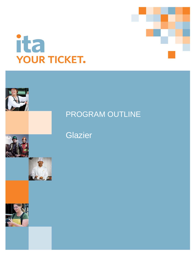





## Glazier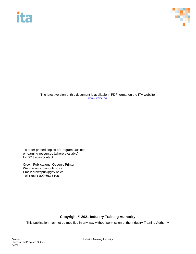# **ita**



The latest version of this document is available in PDF format on the ITA website [www.itabc.ca](http://www.itabc.ca/)

To order printed copies of Program Outlines or learning resources (where available) for BC trades contact:

Crown Publications, Queen's Printer Web: www.crownpub.bc.ca Email: crownpub@gov.bc.ca Toll Free 1 800 663-6105

### **Copyright © 2021 Industry Training Authority**

This publication may not be modified in any way without permission of the Industry Training Authority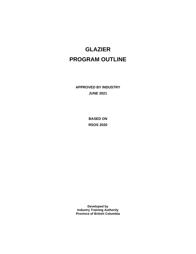## **GLAZIER PROGRAM OUTLINE**

**APPROVED BY INDUSTRY JUNE 2021**

> **BASED ON RSOS 2020**

**Developed by Industry Training Authority Province of British Columbia**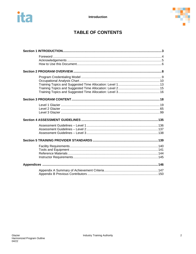

### **TABLE OF CONTENTS**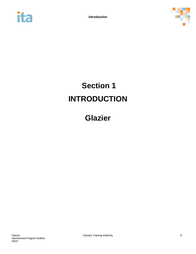



# <span id="page-4-0"></span>**Section 1 INTRODUCTION**

## **Glazier**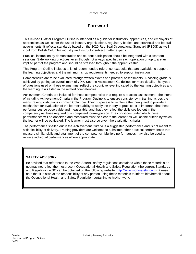#### **Introduction**

### **Foreword**

<span id="page-5-0"></span>This revised Glazier Program Outline is intended as a guide for instructors, apprentices, and employers of apprentices as well as for the use of industry organizations, regulatory bodies, and provincial and federal governments. It reflects standards based on the 2020 Red Seal Occupational Standard (RSOS) as well input from British Columbia industry and instructor subject matter experts.

Practical instruction by demonstration and student participation should be integrated with classroom sessions. Safe working practices, even though not always specified in each operation or topic, are an implied part of the program and should be stressed throughout the apprenticeship.

This Program Outline includes a list of recommended reference textbooks that are available to support the learning objectives and the minimum shop requirements needed to support instruction.

Competencies are to be evaluated through written exams and practical assessments. A passing grade is achieved by getting an overall mark of 70%. See the Assessment Guidelines for more details. The types of questions used on these exams must reflect the cognitive level indicated by the learning objectives and the learning tasks listed in the related competencies.

Achievement Criteria are included for those competencies that require a practical assessment. The intent of including Achievement Criteria in the Program Outline is to ensure consistency in training across the many training institutions in British Columbia. Their purpose is to reinforce the theory and to provide a mechanism for evaluation of the learner's ability to apply the theory to practice. It is important that these performances be observable and measurable, and that they reflect the skills spelled out in the competency as those required of a competent journeyperson. The conditions under which these performances will be observed and measured must be clear to the learner as well as the criteria by which the learner will be evaluated. The learner must also be given the evaluation criteria.

The performance spelled out in the Achievement Criteria is a suggested performance and is not meant to stifle flexibility of delivery. Training providers are welcome to substitute other practical performances that measure similar skills and attainment of the competency. Multiple performances may also be used to replace individual performances where appropriate.

#### **SAFETY ADVISORY**

Be advised that references to the WorkSafeBC safety regulations contained within these materials do not/may not reflect the most recent Occupational Health and Safety Regulation (the current Standards and Regulation in BC can be obtained on the following website: [http://www.worksafebc.com\)](http://www.worksafebc.com/). Please note that it is always the responsibility of any person using these materials to inform him/herself about the Occupational Health and Safety Regulation pertaining to his/her work.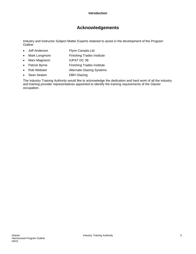### **Acknowledgements**

<span id="page-6-0"></span>Industry and Instructor Subject Matter Experts retained to assist in the development of the Program Outline:

- Jeff Anderson Flynn Canada Ltd.
- Mark Longmore Finishing Trades Institute
- Marv Magnison IUPAT DC 38
- Patrick Byrne Finishing Trades Institute
- Rob Webster **Alternate Glazing Systems**
- Sean Seaton DBH Glazing

The Industry Training Authority would like to acknowledge the dedication and hard work of all the industry and training provider representatives appointed to identify the training requirements of the Glazier occupation.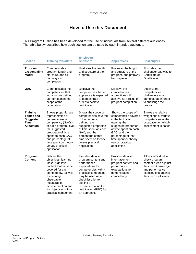### **How to Use this Document**

<span id="page-7-0"></span>This Program Outline has been developed for the use of individuals from several different audiences. The table below describes how each section can be used by each intended audience.

| <b>Section</b>                                                                        | <b>Training Providers</b>                                                                                                                                                                                                                                | <b>Employers/</b><br><b>Sponsors</b>                                                                                                                                                                                                                  | <b>Apprentices</b>                                                                                                                                                                                                                | <b>Challengers</b>                                                                                                                                         |
|---------------------------------------------------------------------------------------|----------------------------------------------------------------------------------------------------------------------------------------------------------------------------------------------------------------------------------------------------------|-------------------------------------------------------------------------------------------------------------------------------------------------------------------------------------------------------------------------------------------------------|-----------------------------------------------------------------------------------------------------------------------------------------------------------------------------------------------------------------------------------|------------------------------------------------------------------------------------------------------------------------------------------------------------|
| Program<br><b>Credentialing</b><br>Model                                              | Communicates<br>program length and<br>structure, and all<br>pathways to<br>completion                                                                                                                                                                    | Illustrates the length<br>and structure of the<br>program                                                                                                                                                                                             | Illustrates the length<br>and structure of the<br>program, and pathway<br>to completion                                                                                                                                           | Illustrates the<br>challenger pathway to<br>Certificate of<br>Qualification                                                                                |
| <b>OAC</b>                                                                            | Communicates the<br>competencies that<br>industry has defined<br>as representing the<br>scope of the<br>occupation                                                                                                                                       | Displays the<br>competencies that an<br>apprentice is expected<br>to demonstrate in<br>order to achieve<br>certification                                                                                                                              | Displays the<br>competencies<br>apprentices will<br>achieve as a result of<br>program completion                                                                                                                                  | Displays the<br>competencies<br>challengers must<br>demonstrate in order<br>to challenge the<br>program                                                    |
| <b>Training</b><br><b>Topics and</b><br><b>Suggested</b><br>Time<br><b>Allocation</b> | Shows proportionate<br>representation of<br>general areas of<br>competency (GACs)<br>at each program level,<br>the suggested<br>proportion of time<br>spent on each GAC,<br>and percentage of<br>time spent on theory<br>versus practical<br>application | Shows the scope of<br>competencies covered<br>in the technical<br>training, the<br>suggested proportion<br>of time spent on each<br>GAC, and the<br>percentage of that<br>time spent on theory<br>versus practical<br>application                     | Shows the scope of<br>competencies covered<br>in the technical<br>training, the<br>suggested proportion<br>of time spent on each<br>GAC, and the<br>percentage of that<br>time spent on theory<br>versus practical<br>application | Shows the relative<br>weightings of various<br>competencies of the<br>occupation on which<br>assessment is based                                           |
| Program<br><b>Content</b>                                                             | Defines the<br>objectives, learning<br>tasks, high level<br>content that must be<br>covered for each<br>competency, as well<br>as defining<br>observable,<br>measurable<br>achievement criteria<br>for objectives with a<br>practical component          | Identifies detailed<br>program content and<br>performance<br>expectations for<br>competencies with a<br>practical component;<br>may be used as a<br>checklist prior to<br>signing a<br>recommendation for<br>certification (RFC) for<br>an apprentice | Provides detailed<br>information on<br>program content and<br>performance<br>expectations for<br>demonstrating<br>competency                                                                                                      | Allows individual to<br>check program<br>content areas against<br>their own knowledge<br>and performance<br>expectations against<br>their own skill levels |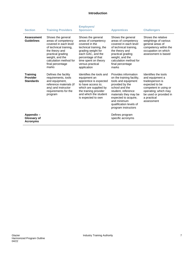#### **Introduction**

| <b>Section</b>                                         | <b>Training Providers</b>                                                                                                                                                                                    | <b>Employers/</b><br><b>Sponsors</b>                                                                                                                                                                              | <b>Apprentices</b>                                                                                                                                                                                                                                    | <b>Challengers</b>                                                                                                                                                                   |
|--------------------------------------------------------|--------------------------------------------------------------------------------------------------------------------------------------------------------------------------------------------------------------|-------------------------------------------------------------------------------------------------------------------------------------------------------------------------------------------------------------------|-------------------------------------------------------------------------------------------------------------------------------------------------------------------------------------------------------------------------------------------------------|--------------------------------------------------------------------------------------------------------------------------------------------------------------------------------------|
| <b>Assessment</b><br><b>Guidelines</b>                 | Shows the general<br>areas of competency<br>covered in each level<br>of technical training.<br>the theory and<br>practical grading<br>weight, and the<br>calculation method for<br>final percentage<br>marks | Shows the general<br>areas of competency<br>covered in the<br>technical training, the<br>grading weight for<br>each GAC, and the<br>percentage of that<br>time spent on theory<br>versus practical<br>application | Shows the general<br>areas of competency<br>covered in each level<br>of technical training.<br>the theory and<br>practical grading<br>weight, and the<br>calculation method for<br>final percentage<br>marks                                          | Shows the relative<br>weightings of various<br>general areas of<br>competency within the<br>occupation on which<br>assessment is based                                               |
| <b>Training</b><br><b>Provider</b><br><b>Standards</b> | Defines the facility<br>requirements, tools<br>and equipment,<br>reference materials (if<br>any) and instructor<br>requirements for the<br>program                                                           | Identifies the tools and<br>equipment an<br>apprentice is expected<br>to have access to:<br>which are supplied by<br>the training provider<br>and which the student<br>is expected to own                         | Provides information<br>on the training facility,<br>tools and equipment<br>provided by the<br>school and the<br>student, reference<br>materials they may be<br>expected to acquire,<br>and minimum<br>qualification levels of<br>program instructors | Identifies the tools<br>and equipment a<br>tradesperson is<br>expected to be<br>competent in using or<br>operating; which may<br>be used or provided in<br>a practical<br>assessment |
| Appendix-<br>Glossary of<br><b>Acronyms</b>            |                                                                                                                                                                                                              |                                                                                                                                                                                                                   | Defines program<br>specific acronyms                                                                                                                                                                                                                  |                                                                                                                                                                                      |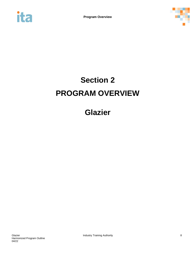<span id="page-9-0"></span>



# **Section 2 PROGRAM OVERVIEW**

## **Glazier**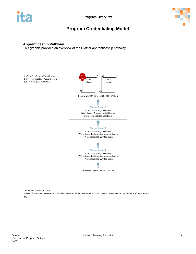

### **Program Credentialing Model**

#### <span id="page-10-0"></span>**Apprenticeship Pathway**

This graphic provides an overview of the Glazier apprenticeship pathway.



CROSS-PROGRAM CREDITS

*Individuals who hold the credentials listed below are entitled to receive partial credit toward the completion requirements of this program*

*None*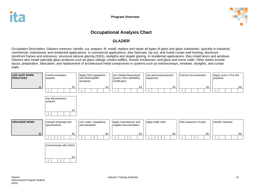

### **Occupational Analysis Chart**

### **GLAZIER**

Occupation Description: Glaziers measure, handle, cut, prepare, fit, install, replace and repair all types of glass and glass substitutes, typically in industrial, commercial, institutional, and residential applications. In commercial applications, they fabricate, lay out, and install curtain wall framing, aluminum storefront frames and entrances, structural silicone glazing (SSG), skylights and sloped glazing. In residential applications, they install doors and windows. Glaziers also install specialty glass products such as glass railings, smoke baffles, shower enclosures, and glass and mirror walls. Other duties include layout, preparation, fabrication, and replacement of architectural metal components in systems such as entranceways, windows, skylights, and curtain walls.

<span id="page-11-0"></span>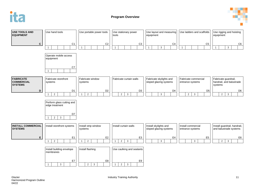



| <b>USE TOOLS AND</b><br><b>EQUIPMENT</b>                | Use hand tools                                               | Use portable power tools             | Use stationary power<br>tools                    | Use layout and measuring<br>equipment             | Use ladders and scaffolds                        | Use rigging and hoisting<br>equipment                       |
|---------------------------------------------------------|--------------------------------------------------------------|--------------------------------------|--------------------------------------------------|---------------------------------------------------|--------------------------------------------------|-------------------------------------------------------------|
| $\mathbf c$                                             | C <sub>1</sub><br>$\mathbf{1}$                               | C <sub>2</sub>                       | C <sub>3</sub><br>$\mathbf{1}$                   | C <sub>4</sub><br>$\mathbf{3}$<br>$\overline{1}$  | C <sub>5</sub>                                   | C <sub>6</sub><br>$\mathbf{3}$<br>$\mathbf{1}$              |
|                                                         | Operate mobile access<br>equipment                           |                                      |                                                  |                                                   |                                                  |                                                             |
|                                                         | C7<br>$\overline{1}$                                         |                                      |                                                  |                                                   |                                                  |                                                             |
| <b>FABRICATE</b><br><b>COMMERCIAL</b><br><b>SYSTEMS</b> | Fabricate storefront<br>systems                              | Fabricate window<br>systems          | Fabricate curtain walls                          | Fabricate skylights and<br>sloped glazing systems | Fabricate commercial<br>entrance systems         | Fabricate guardrail,<br>handrail, and balustrade<br>systems |
| D                                                       | D <sub>1</sub><br>$\overline{2}$<br>$\overline{\phantom{a}}$ | D <sub>2</sub><br>$\overline{2}$     | D <sub>3</sub><br>$\overline{2}$<br>$\mathbf{3}$ | D <sub>4</sub><br>$\overline{3}$                  | D <sub>5</sub><br>$\overline{2}$<br>$\mathbf{3}$ | D <sub>6</sub><br>$\overline{2}$<br>$\overline{3}$          |
|                                                         | Perform glass cutting and<br>edge treatment                  |                                      |                                                  |                                                   |                                                  |                                                             |
|                                                         | D7<br>$\overline{2}$<br>$\mathfrak{Z}$<br>-1                 |                                      |                                                  |                                                   |                                                  |                                                             |
| <b>INSTALL COMMERCIAL</b><br><b>SYSTEMS</b>             | Install storefront systems                                   | Install strip window<br>systems      | Install curtain walls                            | Install skylights and<br>sloped glazing systems   | Install commercial<br>entrance systems           | Install guardrail, handrail,<br>and balustrade systems      |
| E                                                       | E <sub>1</sub><br>$\overline{2}$<br>$\overline{1}$           | E <sub>2</sub><br>$\overline{2}$     | E <sub>3</sub><br>$\mathbf{3}$<br>$\overline{2}$ | E4<br>$\mathbf{3}$                                | E <sub>5</sub><br>$\mathbf{3}$                   | E <sub>6</sub><br>$\overline{3}$<br>$\overline{2}$          |
|                                                         | Install building envelope<br>membranes                       | Install flashing                     | Use caulking and sealants                        |                                                   |                                                  |                                                             |
|                                                         | E7<br>$\mathbf{3}$<br>$\mathbf{1}$                           | E8<br>$\overline{2}$<br>$\mathbf{3}$ | E9<br>$\overline{2}$<br>$\mathbf{3}$             |                                                   |                                                  |                                                             |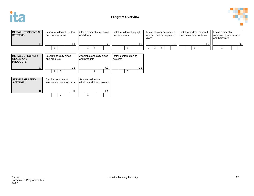



| <b>INSTALL RESIDENTIAL</b><br><b>SYSTEMS</b>                    | Layout residential window<br>and door systems | Glaze residential windows<br>and doors         | Install residential skylights<br>and solariums | Install shower enclosures,<br>mirrors, and back-painted<br>glass | Install guardrail, handrail,<br>and balustrade systems | Install residential<br>windows, doors, frames,<br>and hardware |
|-----------------------------------------------------------------|-----------------------------------------------|------------------------------------------------|------------------------------------------------|------------------------------------------------------------------|--------------------------------------------------------|----------------------------------------------------------------|
| F                                                               | F <sub>1</sub>                                | F <sub>2</sub>                                 | F <sub>3</sub>                                 | F <sub>4</sub>                                                   | F <sub>5</sub>                                         | F6                                                             |
|                                                                 |                                               | 3<br>$\overline{2}$                            |                                                | 2<br>3                                                           | 3                                                      | $\overline{2}$                                                 |
| <b>INSTALL SPECIALTY</b><br><b>GLASS AND</b><br><b>PRODUCTS</b> | Layout specialty glass<br>and products        | Assemble specialty glass<br>and products       | Install custom glazing<br>systems              |                                                                  |                                                        |                                                                |
| G                                                               | G <sub>1</sub><br>$\overline{2}$<br>3         | G2<br>3                                        | G <sub>3</sub>                                 |                                                                  |                                                        |                                                                |
|                                                                 |                                               |                                                |                                                |                                                                  |                                                        |                                                                |
| <b>SERVICE GLAZING</b><br><b>SYSTEMS</b>                        | Service commercial<br>window and door systems | Service residential<br>window and door systems |                                                |                                                                  |                                                        |                                                                |
| н                                                               | H1                                            | H <sub>2</sub>                                 |                                                |                                                                  |                                                        |                                                                |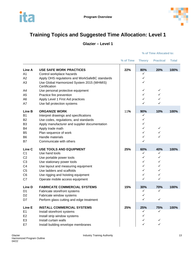



## <span id="page-14-0"></span>**Training Topics and Suggested Time Allocation: Level 1**

**Glazier – Level 1**

|                   |                                                            | % of Time | <b>Theory</b> | <b>Practical</b> | <b>Total</b> |
|-------------------|------------------------------------------------------------|-----------|---------------|------------------|--------------|
| Line A            | <b>USE SAFE WORK PRACTICES</b>                             | 22%       | 80%           | 20%              | 100%         |
| A <sub>1</sub>    | Control workplace hazards                                  |           | ✓             |                  |              |
| A2                | Apply OHS regulations and WorkSafeBC standards             |           | ✓             |                  |              |
| A <sub>3</sub>    | Use Global Harmonized System 2015 (WHMIS)<br>Certification |           | ✓             |                  |              |
| A4                | Use personal protective equipment                          |           | ✓             | ✓                |              |
| A <sub>5</sub>    | Practice fire prevention                                   |           | ✓             | ✓                |              |
| A <sub>6</sub>    | Apply Level 1 First Aid practices                          |           | ✓             | ✓                |              |
| A7                | Use fall protection systems                                |           |               | ✓                |              |
| Line B            | <b>ORGANIZE WORK</b>                                       | 11%       | 90%           | 10%              | 100%         |
| <b>B1</b>         | Interpret drawings and specifications                      |           | ✓             |                  |              |
| B <sub>2</sub>    | Use codes, regulations, and standards                      |           | ✓             |                  |              |
| B <sub>3</sub>    | Apply manufacturer and supplier documentation              |           | ✓             |                  |              |
| B4                | Apply trade math                                           |           | ✓             | $\checkmark$     |              |
| B <sub>5</sub>    | Plan sequence of work                                      |           | ✓             | ✓                |              |
| B <sub>6</sub>    | Handle materials                                           |           | ✓             | ✓                |              |
| B7                | Communicate with others                                    |           | ✓             |                  |              |
| Line <sub>C</sub> | <b>USE TOOLS AND EQUIPMENT</b>                             | 25%       | 60%           | 40%              | 100%         |
| C <sub>1</sub>    | Use hand tools                                             |           | ✓             | ✓                |              |
| C <sub>2</sub>    | Use portable power tools                                   |           | ✓             | ✓                |              |
| C <sub>3</sub>    | Use stationary power tools                                 |           | ✓             | ✓                |              |
| C <sub>4</sub>    | Use layout and measuring equipment                         |           | ✓             | ✓                |              |
| C <sub>5</sub>    | Use ladders and scaffolds                                  |           | ✓             | ✓                |              |
| C <sub>6</sub>    | Use rigging and hoisting equipment                         |           | ✓             | ✓                |              |
| C7                | Operate mobile access equipment                            |           | ✓             | ✓                |              |
| Line D            | <b>FABRICATE COMMERCIAL SYSTEMS</b>                        | 15%       | 30%           | 70%              | 100%         |
| D <sub>1</sub>    | Fabricate storefront systems                               |           | ✓             | ✓                |              |
| D <sub>2</sub>    | Fabricate window systems                                   |           | ✓             |                  |              |
| D7                | Perform glass cutting and edge treatment                   |           | ✓             | ✓                |              |
| Line E            | <b>INSTALL COMMERCIAL SYSTEMS</b>                          | 25%       | 25%           | 75%              | 100%         |
| E1                | Install storefront systems                                 |           | ✓             | ✓                |              |
| E <sub>2</sub>    | Install strip window systems                               |           | ✓             |                  |              |
| E <sub>3</sub>    | Install curtain walls                                      |           | ✓             | ✓                |              |
| E7                | Install building envelope membranes                        |           | ✓             | ✓                |              |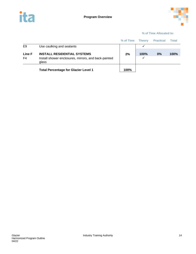



|              |                                                                                                     | % of Time | <b>Theory</b>        | <b>Practical</b> | Total       |
|--------------|-----------------------------------------------------------------------------------------------------|-----------|----------------------|------------------|-------------|
| E9           | Use caulking and sealants                                                                           |           |                      |                  |             |
| Line F<br>F4 | <b>INSTALL RESIDENTIAL SYSTEMS</b><br>Install shower enclosures, mirrors, and back-painted<br>glass | 2%        | 100%<br>$\checkmark$ | 0%               | <b>100%</b> |
|              | <b>Total Percentage for Glazier Level 1</b>                                                         | 100%      |                      |                  |             |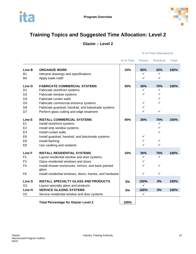



## <span id="page-16-0"></span>**Training Topics and Suggested Time Allocation: Level 2**

**Glazier – Level 2**

|                                                                                                        |                                                                                                                                                                                                                                                                          | % of Time | <b>Theory</b>                           | <b>Practical</b>                                   | <b>Total</b> |
|--------------------------------------------------------------------------------------------------------|--------------------------------------------------------------------------------------------------------------------------------------------------------------------------------------------------------------------------------------------------------------------------|-----------|-----------------------------------------|----------------------------------------------------|--------------|
| Line B<br><b>B1</b><br>B <sub>4</sub>                                                                  | <b>ORGANIZE WORK</b><br>Interpret drawings and specifications<br>Apply trade math                                                                                                                                                                                        | 10%       | 80%<br>✓<br>✓                           | 20%<br>✓<br>$\checkmark$                           | 100%         |
| Line D<br>D <sub>1</sub><br>D <sub>2</sub><br>D <sub>3</sub><br>D <sub>5</sub><br>D <sub>6</sub><br>D7 | <b>FABRICATE COMMERCIAL SYSTEMS</b><br>Fabricate storefront systems<br>Fabricate window systems<br>Fabricate curtain walls<br>Fabricate commercial entrance systems<br>Fabricate guardrail, handrail, and balustrade systems<br>Perform glass cutting and edge treatment | 30%       | 30%<br>✓<br>✓<br>$\checkmark$<br>✓<br>✓ | 70%<br>✓<br>$\checkmark$<br>✓<br>✓<br>$\checkmark$ | 100%         |
| Line E<br>E1<br>E <sub>2</sub><br>E <sub>3</sub><br>E <sub>6</sub><br>E <sub>8</sub><br>E <sub>9</sub> | <b>INSTALL COMMERCIAL SYSTEMS</b><br>Install storefront systems<br>Install strip window systems<br>Install curtain walls<br>Install guardrail, handrail, and balustrade systems<br>Install flashing<br>Use caulking and sealants                                         | 40%       | 30%<br>✓<br>✓<br>✓                      | 70%<br>✓<br>$\checkmark$<br>✓<br>$\checkmark$<br>✓ | 100%         |
| Line F<br>F <sub>1</sub><br>F <sub>2</sub><br>F <sub>4</sub><br>F <sub>6</sub>                         | <b>INSTALL RESIDENTIAL SYSTEMS</b><br>Layout residential window and door systems<br>Glaze residential windows and doors<br>Install shower enclosures, mirrors, and back-painted<br>glass<br>Install residential windows, doors, frames, and hardware                     | 10%       | 30%<br>✓<br>✓<br>✓<br>✓                 | 70%<br>✓<br>$\checkmark$<br>✓                      | 100%         |
| Line G<br>G <sub>1</sub>                                                                               | <b>INSTALL SPECIALTY GLASS AND PRODUCTS</b>                                                                                                                                                                                                                              | 5%        | 100%<br>✓                               | 0%                                                 | 100%         |
| Line H<br>H <sub>2</sub>                                                                               | Layout specialty glass and products<br><b>SERVICE GLAZING SYSTEMS</b><br>Service residential window and door systems                                                                                                                                                     | 5%        | 100%<br>$\checkmark$                    | 0%                                                 | 100%         |
|                                                                                                        | <b>Total Percentage for Glazier Level 2</b>                                                                                                                                                                                                                              | 100%      |                                         |                                                    |              |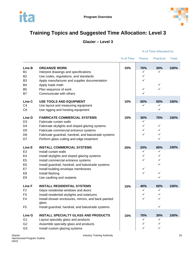



## <span id="page-17-0"></span>**Training Topics and Suggested Time Allocation: Level 3**

**Glazier – Level 3**

|                   |                                                               | % of Time | <b>Theory</b> | <b>Practical</b> | <b>Total</b> |
|-------------------|---------------------------------------------------------------|-----------|---------------|------------------|--------------|
| Line B            | <b>ORGANIZE WORK</b>                                          | 15%       | 70%           | 30%              | 100%         |
| <b>B1</b>         | Interpret drawings and specifications                         |           | ✓             | ✓                |              |
| <b>B2</b>         | Use codes, regulations, and standards                         |           | ✓             |                  |              |
| B <sub>3</sub>    | Apply manufacturer and supplier documentation                 |           | ✓             |                  |              |
| <b>B4</b>         | Apply trade math                                              |           |               | ✓                |              |
| B <sub>5</sub>    | Plan sequence of work                                         |           | ✓             | ✓                |              |
| <b>B7</b>         | Communicate with others                                       |           | ✓             |                  |              |
| Line <sub>C</sub> | <b>USE TOOLS AND EQUIPMENT</b>                                | 10%       | 50%           | 50%              | 100%         |
| C <sub>4</sub>    | Use layout and measuring equipment                            |           | ✓             | ✓                |              |
| C <sub>6</sub>    | Use rigging and hoisting equipment                            |           |               | ✓                |              |
| Line D            | <b>FABRICATE COMMERCIAL SYSTEMS</b>                           | 15%       | 30%           | 70%              | 100%         |
| D <sub>3</sub>    | Fabricate curtain walls                                       |           | ✓             |                  |              |
| D4                | Fabricate skylights and sloped glazing systems                |           | ✓             | ✓                |              |
| D <sub>5</sub>    | Fabricate commercial entrance systems                         |           | ✓             | ✓                |              |
| D <sub>6</sub>    | Fabricate guardrail, handrail, and balustrade systems         |           | ✓             | ✓                |              |
| D7                | Perform glass cutting and edge treatment                      |           |               | ✓                |              |
| Line E            | <b>INSTALL COMMERCIAL SYSTEMS</b>                             | 20%       | 20%           | 80%              | 100%         |
| E <sub>3</sub>    | Install curtain walls                                         |           | ✓             | ✓                |              |
| E <sub>4</sub>    | Install skylights and sloped glazing systems                  |           | ✓             | ✓                |              |
| E <sub>5</sub>    | Install commercial entrance systems                           |           | ✓             | ✓                |              |
| E <sub>6</sub>    | Install guardrail, handrail, and balustrade systems           |           |               | ✓                |              |
| E7                | Install building envelope membranes                           |           | ✓             |                  |              |
| E <sub>8</sub>    | Install flashing                                              |           | ✓             | ✓                |              |
| E9                | Use caulking and sealants                                     |           |               | ✓                |              |
| <b>Line F</b>     | <b>INSTALL RESIDENTIAL SYSTEMS</b>                            | 15%       | 40%           | 60%              | 100%         |
| F <sub>2</sub>    | Glaze residential windows and doors                           |           | ✓             | ✓                |              |
| F <sub>3</sub>    | Install residential skylights and solariums                   |           | ✓             | ✓                |              |
| F4                | Install shower enclosures, mirrors, and back-painted<br>glass |           | ✓             | ✓                |              |
| F <sub>5</sub>    | Install guardrail, handrail, and balustrade systems           |           |               | ✓                |              |
| Line G            | <b>INSTALL SPECIALTY GLASS AND PRODUCTS</b>                   | 15%       | 70%           | 30%              | 100%         |
| G <sub>1</sub>    | Layout specialty glass and products                           |           | ✓             | ✓                |              |
| G <sub>2</sub>    | Assemble specialty glass and products                         |           | ✓             | ✓                |              |
| G <sub>3</sub>    | Install custom glazing systems                                |           | ✓             | ✓                |              |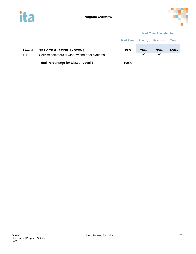



|              |                                                                              | % of Time Theory |            | <b>Practical</b> | <b>Total</b> |
|--------------|------------------------------------------------------------------------------|------------------|------------|------------------|--------------|
| Line H<br>H1 | <b>SERVICE GLAZING SYSTEMS</b><br>Service commercial window and door systems | 10%              | <b>70%</b> | 30%              | 100%         |
|              | <b>Total Percentage for Glazier Level 3</b>                                  | 100%             |            |                  |              |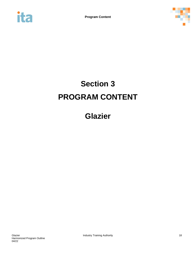<span id="page-19-0"></span>



# **Section 3 PROGRAM CONTENT**

**Glazier**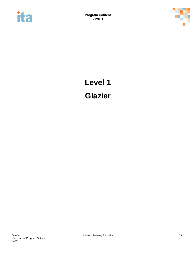<span id="page-20-0"></span>



# **Level 1 Glazier**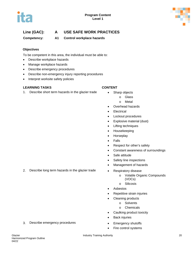

**Competency: A1 Control workplace hazards**

#### **Objectives**

To be competent in this area, the individual must be able to:

- Describe workplace hazards
- Manage workplace hazards
- Describe emergency procedures
- Describe non-emergency injury reporting procedures
- Interpret worksite safety policies

#### **LEARNING TASKS CONTENT**

1. Describe short term hazards in the glazier trade • Sharp objects

- - - o Glass
		- o Metal
	- Overhead hazards
	- **Electrical**
	- Lockout procedures
	- Explosive material (dust)
	- Lifting techniques
	- Housekeeping
	- Horseplay
	- Falls
	- Respect for other's safety
	- Constant awareness of surroundings
	- Safe attitude
	- Safety line inspections
	- Management of hazards
- 2. Describe long term hazards in the glazier trade Respiratory disease
	- o Volatile Organic Compounds (VOCs)
	- o Silicosis
	- **Asbestos**
	- Repetitive strain injuries
	- Cleaning products
		- o Solvents
		- o Chemicals
	- Caulking product toxicity
	- **Back injuries**
	-
	- Fire control systems
- 3. Describe emergency procedures Emergency shutoffs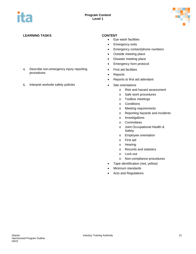

#### **LEARNING TASKS CONTENT**

## 4. Describe non-emergency injury reporting • First aid facilities<br>
procedures • Penorts

5. Interpret worksite safety policies • Site orientations

- Eye wash facilities
- Emergency exits
- Emergency contact/phone numbers
- Outside meeting place
- Disaster meeting place
- Emergency horn protocol
- 
- Reports
- Reports to first aid attendant
- - o Risk and hazard assessment
	- o Safe work procedures
	- o Toolbox meetings
	- o Conditions
	- o Meeting requirements
	- o Reporting hazards and incidents
	- o Investigations
	- o Committees
	- o Joint Occupational Health & Safety
	- o Employee orientation
	- o First aid
	- o Hearing
	- o Records and statistics
	- o Lock-out
	- o Non-compliance procedures
- Tape identification (red, yellow)
- Minimum standards
- Acts and Regulations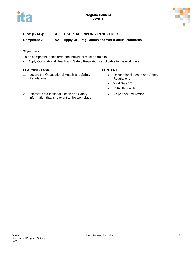



**Competency: A2 Apply OHS regulations and WorkSafeBC standards**

#### **Objectives**

To be competent in this area, the individual must be able to:

• Apply Occupational Health and Safety Regulations applicable to the workplace

#### **LEARNING TASKS CONTENT**

- 
- 1. Locate the Occupational Health and Safety **Regulations**
- Occupational Health and Safety **Regulations**
- WorkSafeBC
- CSA Standards
- As per documentation
- 2. Interpret Occupational Health and Safety information that is relevant to the workplace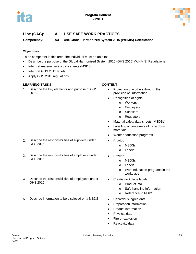



**Competency: A3 Use Global Harmonized System 2015 (WHMIS) Certification**

#### **Objectives**

To be competent in this area, the individual must be able to:

- Describe the purpose of the Global Harmonized System 2015 (GHS 2015) (WHMIS) Regulations
- Interpret material safety data sheets (MSDS)
- Interpret GHS 2015 labels
- Apply GHS 2015 regulations

#### **LEARNING TASKS CONTENT**

1. Describe the key elements and purpose of GHS 2015

- Protection of workers through the provision of information
- Recognition of rights
	- o Workers
	- o Employers
	- o Suppliers
	- o Regulators
- Material safety data sheets (MSDSs)
- Labelling of containers of hazardous materials
- Worker education programs
- - o MSDSs
	- o Labels
- - o MSDSs
	- o Labels
	- o Work education programs in the workplace
	- - o Product info
		- o Safe handling information
		- o Reference to MSDS
- 
- Preparation information
- Product information
- Physical data
- Fire or explosion
- Reactivity data
- 2. Describe the responsibilities of suppliers under Provide<br>GHS 2015
- 3. Describe the responsibilities of employers under GHS 2015 Provide
- 4. Describe the responsibilities of employees under Create workplace labels<br>GHS 2015
- 5. Describe information to be disclosed on a MSDS Hazardous ingredients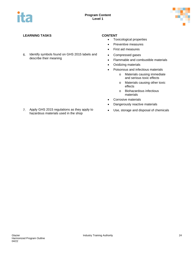

#### **LEARNING TASKS CONTENT**

6. Identify symbols found on GHS 2015 labels and **•** Compressed gases<br>describe their meaning **by the interval of the set of contact of contact of the set of contact of contact of con** 

- Toxicological properties
- Preventive measures
- First aid measures
- 
- Flammable and combustible materials
- Oxidizing materials
- Poisonous and infectious materials
	- o Materials causing immediate and serious toxic effects
	- o Materials causing other toxic effects
	- o Biohazardous infectious materials
- Corrosive materials
- Dangerously reactive materials
- 
- 7. Apply GHS 2015 regulations as they apply to Apply GHS 2015 regulations as they apply to **•** Use, storage and disposal of chemicals hazardous materials used in the shop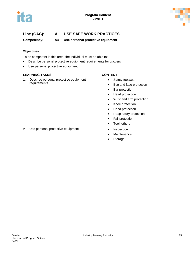



**Competency: A4 Use personal protective equipment**

#### **Objectives**

To be competent in this area, the individual must be able to:

- Describe personal protective equipment requirements for glaziers
- Use personal protective equipment

#### **LEARNING TASKS CONTENT**

1. Describe personal protective equipment requirements

- Safety footwear
- Eye and face protection
- Ear protection
- Head protection
- Wrist and arm protection
- Knee protection
- Hand protection
- Respiratory protection
- Fall protection
- Tool tethers
- 2. Use personal protective equipment Inspection
	- Maintenance
	- Storage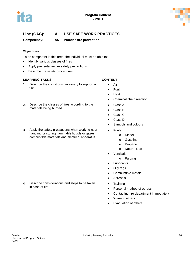



**Competency: A5 Practice fire prevention**

#### **Objectives**

To be competent in this area, the individual must be able to:

- Identify various classes of fires
- Apply preventative fire safety precautions
- Describe fire safety procedures

#### **LEARNING TASKS CONTENT**

1. Describe the conditions necessary to support a fire

## 2. Describe the classes of fires according to the **•** Class A<br>materials being burned **•** Class B

3. Apply fire safety precautions when working near, handling or storing flammable liquids or gases, combustible materials and electrical apparatus

- Air
- Fuel
- Heat
- Chemical chain reaction
- 
- Class B
- Class C
- Class D
- Symbols and colours
- Fuels
	- o Diesel
	- o Gasoline
	- o Propane
	- o Natural Gas
- Ventilation
	- o Purging
- **Lubricants**
- Oily rags
- Combustible metals
- Aerosols
- 
- Personal method of egress
- Contacting fire department immediately
- Warning others
- Evacuation of others
- 4. Describe considerations and steps to be taken Training<br>in case of fire Persona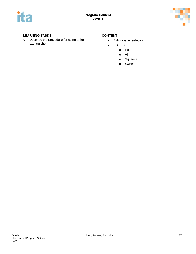



#### **LEARNING TASKS CONTENT**

5. Describe the procedure for using a fire **•** Extinguisher selection<br>extinguisher **• Extinguisher** 

- 
- P.A.S.S.
	- o Pull
		- o Aim
		- o Squeeze
		- o Sweep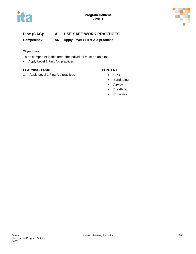



**Competency: A6 Apply Level 1 First Aid practices**

#### **Objectives**

To be competent in this area, the individual must be able to:

• Apply Level 1 First Aid practices

#### **LEARNING TASKS CONTENT**

1. Apply Level 1 First Aid practices • CPR

- 
- Bandaging
- Airway
- Breathing
- Circulation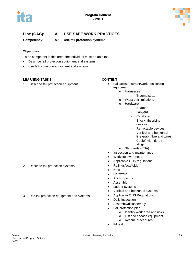



**Competency: A7 Use fall protection systems**

#### **Objectives**

To be competent in this area, the individual must be able to:

- Describe fall protection equipment and systems
- Use fall protection equipment and systems

#### **LEARNING TASKS CONTENT**

- 1. Describe fall protection equipment **•** Fall arrest/restraint/work positioning equipment
	- o Harnesses
		- − Trauma strap
	- o Waist belt limitations
	- o Hardware
		- − Beamer
		- − Lanyard
		- − Carabiner
		- − Shock-absorbing devices
		- − Retractable devices
		- − Vertical and horizontal
		- line grab (fibre and wire)
		- − Cable/nylon tie-off slings
	- o Standards (CSA)
	- Inspection and maintenance
	- Worksite awareness
	- Applicable OHS regulations
- 2. Describe fall protection systems **•** Railings/scaffolds
	- Nets
	- Hardware
	- Anchor points
	- Assembly
	- Ladder systems
	- Vertical and horizontal systems
- 3. Use fall protection equipment and systems Applicable OHS Regulations
	- Daily inspection
	- Assembly/disassembly
	- Fall protection plan
		- o Identify work area and risks
		- o List and choose equipment
		- o Rescue procedures
	- **Fit test**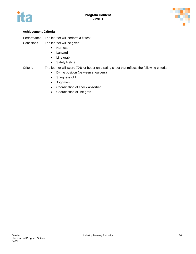



#### **Achievement Criteria**

Performance The learner will perform a fit test.

Conditions The learner will be given:

- Harness
- Lanyard
- Line grab
- Safety lifeline

Criteria The learner will score 70% or better on a rating sheet that reflects the following criteria:

- D-ring position (between shoulders)
- Snugness of fit
- Alignment
- Coordination of shock absorber
- Coordination of line grab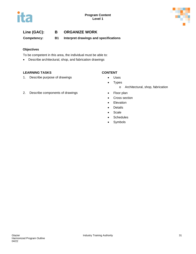



**Competency: B1 Interpret drawings and specifications**

#### **Objectives**

To be competent in this area, the individual must be able to:

• Describe architectural, shop, and fabrication drawings

#### **LEARNING TASKS CONTENT**

- 
- 1. Describe purpose of drawings **•** Uses

- 
- Types
	- o Architectural, shop, fabrication
- - Cross section
	- Elevation
	- Details
	- Scale
	- Schedules
	- Symbols
- 2. Describe components of drawings **•** Floor plan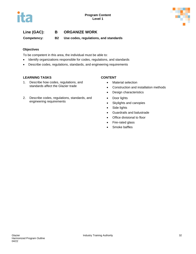



**Competency: B2 Use codes, regulations, and standards**

#### **Objectives**

To be competent in this area, the individual must be able to:

- Identify organizations responsible for codes, regulations, and standards
- Describe codes, regulations, standards, and engineering requirements

#### **LEARNING TASKS CONTENT**

- 1. Describe how codes, regulations, and standards affect the Glazier trade
- 2. Describe codes, regulations, standards, and engineering requirements

- Material selection
- Construction and installation methods
- Design characteristics
- Door lights
- Skylights and canopies
- Side lights
- Guardrails and balustrade
- Office divisional to floor
- Fire-rated glass
- Smoke baffles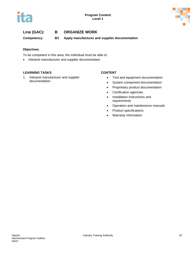



**Competency: B3 Apply manufacturer and supplier documentation**

#### **Objectives**

To be competent in this area, the individual must be able to:

• Interpret manufacturer and supplier documentation

#### **LEARNING TASKS CONTENT**

1. Interpret manufacturer and supplier documentation

- Tool and equipment documentation
- System component documentation
- Proprietary product documentation
- Certification agencies
- Installation instructions and requirements
- Operation and maintenance manuals
- Product specifications
- Warranty information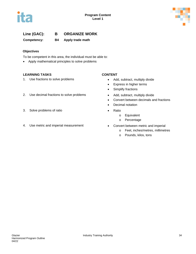



**Competency: B4 Apply trade math**

#### **Objectives**

To be competent in this area, the individual must be able to:

• Apply mathematical principles to solve problems

#### **LEARNING TASKS CONTENT**

1. Use fractions to solve problems **•** Add, subtract, multiply divide

#### 2. Use decimal fractions to solve problems • Add, subtract, multiply divide

- 3. Solve problems of ratio Ratio
- 4. Use metric and imperial measurement Convert between metric and imperial

- 
- Express in higher terms
- Simplify fractions
- 
- Convert between decimals and fractions
- Decimal notation
- - o Equivalent
	- o Percentage
- - o Feet, inches/metres, millimetres
	- o Pounds, kilos, tons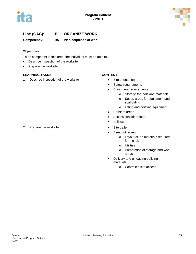



# **Line (GAC): B ORGANIZE WORK**

**Competency: B5 Plan sequence of work**

### **Objectives**

To be competent in this area, the individual must be able to:

- Describe inspection of the worksite
- Prepare the worksite

### **LEARNING TASKS CONTENT**

1. Describe inspection of the worksite • Site orientation

- 
- Safety requirements
- Equipment requirements
	- o Storage for tools and materials
	- o Set up areas for equipment and scaffolding
	- o Lifting and hoisting equipment
- Problem areas
- Access considerations
- **Utilities**
- 
- Blueprint review
	- o Layout of job materials required for the job
	- o Utilities
	- o Preparation of storage and work areas
- Delivery and unloading building materials
	- o Controlled site access

### 2. Prepare the worksite **•** Site trailer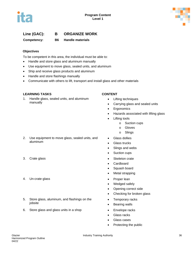

# **Line (GAC): B ORGANIZE WORK**

**Competency: B6 Handle materials**

### **Objectives**

To be competent in this area, the individual must be able to:

- Handle and store glass and aluminum manually
- Use equipment to move glass, sealed units, and aluminum
- Ship and receive glass products and aluminum
- Handle and store flashings manually
- Communicate with others to lift, transport and install glass and other materials

### **LEARNING TASKS CONTENT**

1. Handle glass, sealed units, and aluminum manually

- Lifting techniques
- Carrying glass and sealed units
- Ergonomics
- Hazards associated with lifting glass
- **Lifting tools** 
	- o Suction cups
	- o Gloves
	- o Slings
- Glass dollies
- Glass trucks
- Slings and webs
- Suction cups
- 3. Crate glass **•** Skeleton crate
	- Cardboard
	- Squash board
	- Metal strapping
	-
	- Wedged safely
	- Opening correct side
	- Checking for broken glass
	- Temporary racks
	- Bearing walls
	-
	- Glass racks
	- Glass cases
	- Protecting the public

aluminum

2. Use equipment to move glass, sealed units, and

- 
- 4. Un-crate glass **•** Proper lean
- 5. Store glass, aluminum, and flashings on the jobsite
- 6. Store glass and glass units in a shop **•** Envelope racks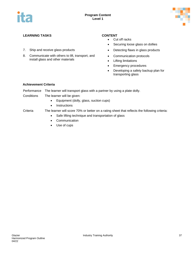

### **LEARNING TASKS CONTENT**

- 7. Ship and receive glass products **•** Detecting flaws in glass products
- 8. Communicate with others to lift, transport, and install glass and other materials

- Cut off racks
- Securing loose glass on dollies
- 
- Communication protocols
- Lifting limitations
- Emergency procedures
- Developing a safety backup plan for transporting glass

### **Achievement Criteria**

Performance The learner will transport glass with a partner by using a plate dolly.

- Conditions The learner will be given:
	- Equipment (dolly, glass, suction cups)
	- Instructions

- Criteria The learner will score 70% or better on a rating sheet that reflects the following criteria:
	- Safe lifting technique and transportation of glass
	- Communication
	- Use of cups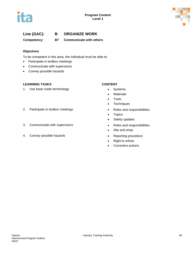



# **Line (GAC): B ORGANIZE WORK**

**Competency: B7 Communicate with others**

### **Objectives**

To be competent in this area, the individual must be able to:

- Participate in toolbox meetings
- Communicate with supervisors
- Convey possible hazards

### **LEARNING TASKS CONTENT**

1. Use basic trade terminology **•** Systems

- 
- Materials
- Tools
- Techniques
- 
- Topics
- Safety updates
- 
- Site and shop
- 
- Right to refuse
- Corrective actions

### 2. Participate in toolbox meetings **•** Roles and responsibilities

- 3. Communicate with supervisors **•** Roles and responsibilities
- 4. Convey possible hazards **•** Reporting procedure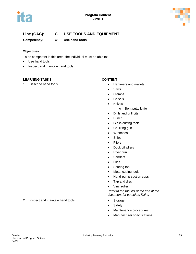



# **Line (GAC): C USE TOOLS AND EQUIPMENT**

**Competency: C1 Use hand tools**

### **Objectives**

To be competent in this area, the individual must be able to:

- Use hand tools
- Inspect and maintain hand tools

### **LEARNING TASKS CONTENT**

1. Describe hand tools **• Hammers and mallets** 

- 
- Saws
- Clamps
- Chisels
- Knives
	- o Bent putty knife
- Drills and drill bits
- Punch
- Glass cutting tools
- Caulking gun
- Wrenches
- Snips
- Pliers
- Duck bill pliers
- Rivet gun
- Sanders
- Files
- Scoring tool
- Metal-cutting tools
- Hand-pump suction cups
- Tap and dies
- Vinyl roller

*Refer to the tool list at the end of the document for complete listing*

- 
- Safety
- Maintenance procedures
- Manufacturer specifications

### 2. Inspect and maintain hand tools • Storage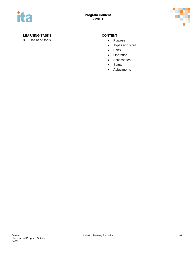



### **LEARNING TASKS CONTENT**

3. Use hand tools **•** Purpose

- 
- Types and sizes
- Parts
- Operation
- Accessories
- Safety
- Adjustments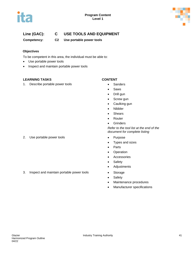



# **Line (GAC): C USE TOOLS AND EQUIPMENT**

**Competency: C2 Use portable power tools**

### **Objectives**

To be competent in this area, the individual must be able to:

- Use portable power tools
- Inspect and maintain portable power tools

### **LEARNING TASKS CONTENT**

1. Describe portable power tools **•** Sanders

- 
- Saws
- Drill gun
- Screw gun
- Caulking gun
- Nibbler
- Shears
- **Router**
- Grinders

*Refer to the tool list at the end of the document for complete listing*

- 
- Types and sizes
- Parts
- Operation
- Accessories
- Safety
- Adjustments
- 
- Safety
- Maintenance procedures
- Manufacturer specifications

2. Use portable power tools **•** Purpose

3. Inspect and maintain portable power tools • Storage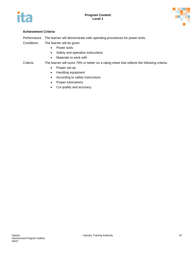



Performance The learner will demonstrate safe operating procedures for power tools.

Conditions The learner will be given:

- Power tools
- Safety and operation instructions
- Materials to work with

### Criteria The learner will score 70% or better on a rating sheet that reflects the following criteria:

- Proper set-up
- Handling equipment
- According to safety instructions
- Proper lubrications
- Cut quality and accuracy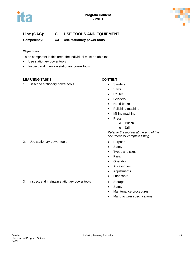



# **Line (GAC): C USE TOOLS AND EQUIPMENT**

**Competency: C3 Use stationary power tools**

### **Objectives**

To be competent in this area, the individual must be able to:

- Use stationary power tools
- Inspect and maintain stationary power tools

### **LEARNING TASKS CONTENT**

1. Describe stationary power tools **•** Sanders

- 
- Saws
- Router
- Grinders
- Hand brake
- Polishing machine
- Milling machine
- **Press** 
	- o Punch
	- o Drill

*Refer to the tool list at the end of the document for complete listing*

- 
- Safety
- Types and sizes
- Parts
- Operation
- Accessories
- Adjustments
- Lubricants
- 
- Safety
- Maintenance procedures
- Manufacturer specifications

2. Use stationary power tools **•** Purpose

3. Inspect and maintain stationary power tools • Storage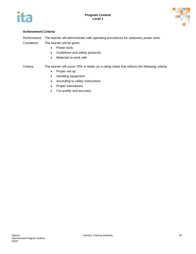



Performance The learner will demonstrate safe operating procedures for stationary power tools. Conditions The learner will be given:

- Power tools
- Guidelines and safety protocols
- Materials to work with

### Criteria The learner will score 70% or better on a rating sheet that reflects the following criteria:

- Proper set-up
- Handling equipment
- According to safety instructions
- Proper lubrications
- Cut quality and accuracy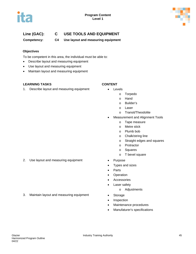



# **Line (GAC): C USE TOOLS AND EQUIPMENT**

**Competency: C4 Use layout and measuring equipment**

### **Objectives**

To be competent in this area, the individual must be able to:

- Describe layout and measuring equipment
- Use layout and measuring equipment
- Maintain layout and measuring equipment

### **LEARNING TASKS CONTENT**

1. Describe layout and measuring equipment • Levels

- - o Torpedo
	- o Hand
	- o Builder's
	- o Laser
	- o Transit/Theodolite
- Measurement and Alignment Tools
	- o Tape measure
	- o Metre stick
	- o Plumb bob
	- o Chalk/string line
	- o Straight edges and squares
	- o Protractor
	- o Squares
	- o T bevel square
- 2. Use layout and measuring equipment Purpose
	- Types and sizes
	- Parts
	- Operation
	- Accessories
	- Laser safety
		- o Adjustments
	-
	- Inspection
	- Maintenance procedures
	- Manufaturer's specifications

3. Maintain layout and measuring equipment • Storage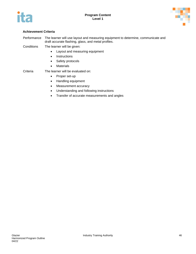



Performance The learner will use layout and measuring equipment to determine, communicate and draft accurate flashing, glass, and metal profiles.

Conditions The learner will be given:

- Layout and measuring equipment
- Instructions
- Safety protocols
- Materials

### Criteria The learner will be evaluated on:

- Proper set-up
- Handling equipment
- Measurement accuracy
- Understanding and following instructions
- Transfer of accurate measurements and angles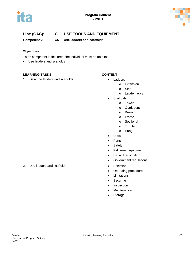



# **Line (GAC): C USE TOOLS AND EQUIPMENT**

**Competency: C5 Use ladders and scaffolds**

### **Objectives**

To be competent in this area, the individual must be able to:

• Use ladders and scaffolds

### **LEARNING TASKS CONTENT**

1. Describe ladders and scaffolds **•** Ladders

- - o Extension
	- o Step
	- o Ladder jacks
- Scaffolds
	- o Tower
	- o Outriggers
	- o Baker
	- o Frame
	- o Sectional
	- o Tubular
	- o Hung
- Uses
- Parts
- Safety
- Fall arrest equipment
- Hazard recognition
- Government regulations
- 
- Operating procedures
- Limitations
- Securing
- Inspection
- Maintenance
- Storage

2. Use ladders and scaffolds **•** Selection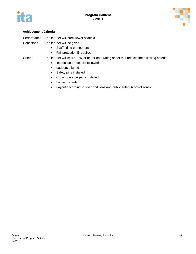



Performance The learner will erect tower scaffold.

Conditions The learner will be given:

- Scaffolding components
- Fall protection if required

Criteria The learner will score 70% or better on a rating sheet that reflects the following criteria:

- Inspection procedure followed
- Ladders aligned
- Safety pins installed
- Cross brace properly installed
- Locked wheels
- Layout according to site conditions and public safety (control zone)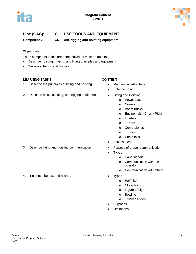



# **Line (GAC): C USE TOOLS AND EQUIPMENT**

**Competency: C6 Use rigging and hoisting equipment**

### **Objectives**

To be competent in this area, the individual must be able to:

- Describe hoisting, rigging, and lifting principles and equipment
- Tie knots, bends and hitches

### **LEARNING TASKS CONTENT**

1. Describe the principles of lifting and hoisting • Mechanical advantage

- 
- Balance point
- 2. Describe hoisting, lifting, and rigging equipment Lifting and Hoisting
	- o Power cups
	- o Cranes
	- o Boom trucks
	- o Engine hoist (Cherry Pick)
	- o Loaders
	- o Turfers
	- o Come-alongs
	- o Tuggers
	- o Chain falls
	- **Accessories**
- 3. Describe lifting and hoisting communication Purpose of proper communication
	- **Types** 
		- o Hand signals
		- o Communication with the operator
		- o Communication with others
	- - o Half hitch
		- o Clove hitch
		- o Figure of eight
		- o Bowline
		- o Trucker's hitch
	- **Purposes**
	- **Limitations**

4. Tie knots, bends, and hitches **•** Types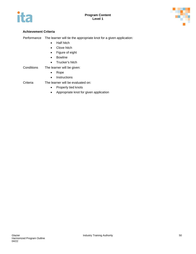



Performance The learner will tie the appropriate knot for a given application:

- Half hitch
- Clove hitch
- Figure of eight
- Bowline
- Trucker's hitch
- Conditions The learner will be given:
	- Rope
	- Instructions

Criteria The learner will be evaluated on:

- Properly tied knots
- Appropriate knot for given application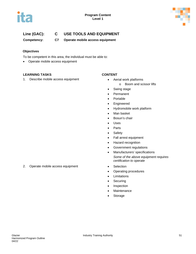



# **Line (GAC): C USE TOOLS AND EQUIPMENT**

**Competency: C7 Operate mobile access equipment**

### **Objectives**

To be competent in this area, the individual must be able to:

• Operate mobile access equipment

### **LEARNING TASKS CONTENT**

1. Describe mobile access equipment • Aerial work platforms

- - o Boom and scissor lifts
- Swing stage
- Permanent
- Portable
- Engineered
- Hydromobile work platform
- Man basket
- Bosun's chair
- Uses
- Parts
- Safety
- Fall arrest equipment
- Hazard recognition
- Government regulations
- Manufacturers' specifications *Some of the above equipment requires certification to operate*
- 
- Operating procedures
- Limitations
- Securing
- Inspection
- Maintenance
- Storage

2. Operate mobile access equipment • Selection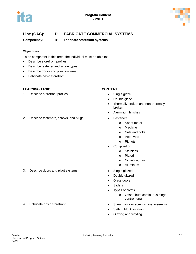



# **Line (GAC): D FABRICATE COMMERCIAL SYSTEMS**

**Competency: D1 Fabricate storefront systems**

### **Objectives**

To be competent in this area, the individual must be able to:

- Describe storefront profiles
- Describe fastener and screw types
- Describe doors and pivot systems
- Fabricate basic storefront

### **LEARNING TASKS CONTENT**

- 1. Describe storefront profiles **•** Single glaze
- 2. Describe fasteners, screws, and plugs **•** Fasteners

- 
- Double glaze
- Thermally-broken and non-thermallybroken
- Aluminium finishes
- - o Sheet metal
	- o Machine
	- o Nuts and bolts
	- o Pop rivets
	- o Rivnuts
- **Composition** 
	- o Stainless
	- o Plated
	- o Nickel cadmium
	- o Aluminum
- 3. Describe doors and pivot systems **•** Single glazed
	- Double glazed
	- Glass doors
	- **Sliders**
	- Types of pivots
		- o Offset, butt, continuous hinge, centre hung
- 4. Fabricate basic storefront **•** Shear block or screw spline assembly
	- Setting block location
	- Glazing and vinyling
- 
-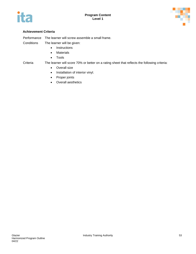



Performance The learner will screw assemble a small frame.

Conditions The learner will be given:

- Instructions
- Materials
- Tools

### Criteria The learner will score 70% or better on a rating sheet that reflects the following criteria:

- Overall size
- Installation of interior vinyl.
- Proper joints
- Overall aesthetics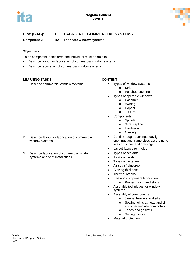



# **Line (GAC): D FABRICATE COMMERCIAL SYSTEMS**

**Competency: D2 Fabricate window systems** 

### **Objectives**

To be competent in this area, the individual must be able to:

- Describe layout for fabrication of commercial window systems
- Describe fabrication of commercial window systems

### **LEARNING TASKS CONTENT**

1. Describe commercial window systems • Types of window systems

- - o Strip
	- o Punched opening
- Types of operable windows
	- o Casement
	- o Awning
	- o Hopper
	- o Tilt turn
- **Components**
- o Spigots
	- o Screw spline
	- o Hardware
	- o Glazing
- Confirm rough openings, daylight openings and frame sizes according to site conditions and drawings
- Layout fabrication holes
- Types of sealants
- Types of finish
- Types of fasteners
- Air seals/rainscreen
- Glazing thickness
- Thermal breaks
- Part and component fabrication
	- o Proper milling and stops
- Assembly techniques for window systems
- Assembly of components
	- o Jambs, headers and sills
	- o Sealing joints at head and sill and intermediate horizontals
	- o Tapes and gaskets
	- o Setting blocks
- Material protection
- 2. Describe layout for fabrication of commercial window systems
- 3. Describe fabrication of commercial window systems and vent installations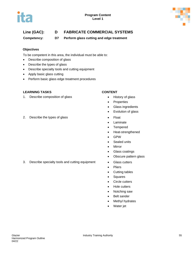

# **Line (GAC): D FABRICATE COMMERCIAL SYSTEMS**

**Competency: D7 Perform glass cutting and edge treatment**

### **Objectives**

To be competent in this area, the individual must be able to:

- Describe composition of glass
- Describe the types of glass
- Describe specialty tools and cutting equipment
- Apply basic glass cutting
- Perform basic glass edge treatment procedures

### **LEARNING TASKS CONTENT**

- 1. Describe composition of glass **•** History of glass
- 2. Describe the types of glass **•** Float

- 
- Properties
- Glass ingredients
- Evolution of glass
- 
- Laminate
- Tempered
- Heat-strengthened
- GPW
- Sealed units
- Mirror
- Glass coatings
- Obscure pattern glass
- 3. Describe specialty tools and cutting equipment Glass cutters
	- Pliers
	- Cutting tables
	- Squares
	- Circle cutters
	- Hole cutters
	- Notching saw
	- Belt sander
	- Methyl hydrates
	- Water jet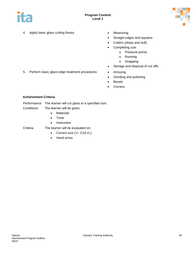



- 4. Apply basic glass cutting theory **•** Measuring
	-
	- Straight edges and squares
	- Cutters (sharp and dull)
	- Completing cuts
		- o Pressure points
		- o Running
		- o Snapping
	- Storage and disposal of cut offs
- 5. Perform basic glass edge treatment procedures Arrissing
	- Grinding and polishing
	- Bevels
	- Corners

Performance The learner will cut glass to a specified size.

- Conditions The learner will be given:
	- Materials
	- Tools
	- Instruction

Criteria The learner will be evaluated on:

- Correct size  $(+/- 1/16$  in.)
- Hand arriss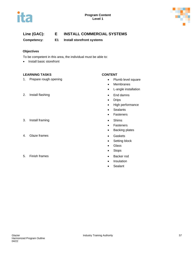



**Competency: E1 Install storefront systems**

### **Objectives**

To be competent in this area, the individual must be able to:

• Install basic storefront

### **LEARNING TASKS CONTENT**

1. Prepare rough opening entitled and the set of the Plumb level square

### 2. Install flashing **• End damns**

- 3. Install framing **•** Shims
- 4. Glaze frames **•** Gaskets
- 5. Finish frames Backer rod

- 
- Membranes
- L-angle installation
- 
- Drips
- High performance
- Sealants
- Fasteners
- 
- Fasteners
- Backing plates
- 
- Setting block
- Glass
- Stops
- 
- Insulation
- Sealant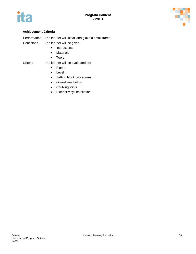



Performance The learner will install and glaze a small frame.

- Conditions The learner will be given:
	- Instructions
	- Materials
	- Tools

### Criteria The learner will be evaluated on:

- Plumb
	- Level
	- Setting block procedures
- Overall aesthetics
- Caulking joints
- Exterior vinyl installation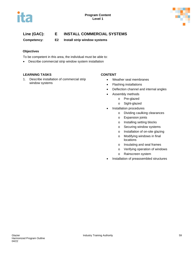



**Competency: E2 Install strip window systems** 

### **Objectives**

To be competent in this area, the individual must be able to:

• Describe commercial strip window system installation

### **LEARNING TASKS CONTENT**

1. Describe installation of commercial strip window systems

- Weather seal membranes
- Flashing installations
- Deflection channel and internal angles
- Assembly methods
	- o Pre-glazed
		- o Sight-glazed
- Installation procedures
	- o Dividing caulking clearances
	- o Expansion joints
	- o Installing setting blocks
	- o Securing window systems
	- o Installation of on-site glazing
	- o Modifying windows in final locations
	- o Insulating and seal frames
	- o Verifying operation of windows
	- o Rainscreen system
- Installation of preassembled structures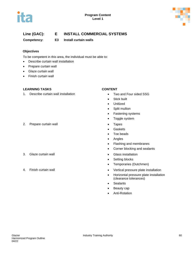



**Competency: E3 Install curtain walls**

### **Objectives**

To be competent in this area, the individual must be able to:

- Describe curtain wall installation
- Prepare curtain wall
- Glaze curtain wall
- Finish curtain wall

### **LEARNING TASKS CONTENT**

1. Describe curtain wall installation **•** Two and Four sided SSG

2. Prepare curtain wall **Exercise 2.** Prepare curtain wall

- 3. Glaze curtain wall **but all contained a contained a Glass** installation
- 

- 
- Stick built
- Unitized
- Split mullion
- Fastening systems
- Toggle system
- 
- Gaskets
- Toe beads
- Angles
- Flashing and membranes
- Corner blocking and sealants
- 
- Setting blocks
- Temporaries (Dutchmen)
- 4. Finish curtain wall **All and Structure 1** and the Vertical pressure plate installation
	- Horizontal pressure plate installation (clearance tolerances)
	- Sealants
	- Beauty cap
	- Anti-Rotation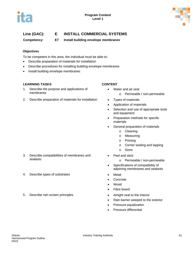



**Competency: E7 Install building envelope membranes**

### **Objectives**

To be competent in this area, the individual must be able to:

- Describe preparation of materials for installation
- Describe procedures for installing building envelope membranes
- Install building envelope membranes

### **LEARNING TASKS CONTENT**

- 1. Describe the purpose and applications of membranes
- 2. Describe preparation of materials for installation Types of materials

- Water and air seal o Permeable / non-permeable
- 
- Application of materials
- Selection and use of appropriate tools and equipment
- Preparation methods for specific materials
- General preparation of materials
	- o Cleaning
	- o Measuring
	- o Priming
	- o Corner sealing and lapping
	- o Sizes
- Peel and stick
	- o Permeable / non-permeable
- Specifications of compatibility of adjoining membranes and sealants
- 
- **Concrete**
- Wood
- Fibre board
- 
- Rain barrier weeped to the exterior
- Pressure equalization
- Pressure differential

### 3. Describe compatibilities of membranes and sealants

- 4. Describe types of substrates Metal
- 5. Describe rain screen principles Airtight seal to the interior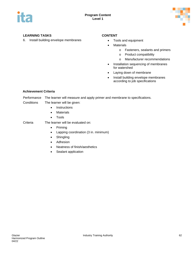



### **LEARNING TASKS CONTENT**

6. Install building envelope membranes • Tools and equipment

- 
- Materials
	- o Fasteners, sealants and primers
	- o Product compatibility
	- o Manufacturer recommendations
- Installation sequencing of membranes for watershed
- Laying down of membrane
- Install building envelope membranes according to job specifications

### **Achievement Criteria**

Performance The learner will measure and apply primer and membrane to specifications.

Conditions The learner will be given:

- Instructions
- Materials
- Tools

### Criteria The learner will be evaluated on:

- Priming
- Lapping coordination (3 in. minimum)
- Shingling
- Adhesion
- Neatness of finish/aesthetics
- Sealant application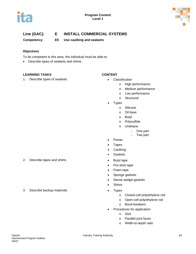



**Competency: E9 Use caulking and sealants**

### **Objectives**

To be competent in this area, the individual must be able to:

• Describe types of sealants and shims

### **LEARNING TASKS CONTENT**

1. Describe types of sealants **•** Classification

- - o High performance
	- o Medium performance
	- o Low performance
	- o Structural
	- **Types** 
		- o Silicone
		- o Oil base
		- o Butyl
		- o Polysulfide
		- o Urethane
			- − One part
			- − Two part
- Primer
- Tapes
- Caulking
- Gaskets
- 
- Pre-shim tape
- Foam tape
- Sponge gaskets
- Dense wedge gaskets
- Shims
- - o Closed-cell polyethylene rod
	- o Open-cell polyethylene rod
	- o Bond breakers
- Procedures for application
	- o Size
	- o Parallel joint faces
	- o Width-to-depth ratio

2. Describe tapes and shims **•** Butyl tape

3. Describe backup materials • Types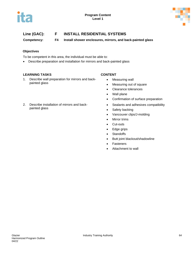



# **Line (GAC): F INSTALL RESIDENTIAL SYSTEMS**

**Competency: F4 Install shower enclosures, mirrors, and back-painted glass**

### **Objectives**

To be competent in this area, the individual must be able to:

• Describe preparation and installation for mirrors and back-painted glass

### **LEARNING TASKS CONTENT**

painted glass

1. Describe wall preparation for mirrors and backpainted glass

2. Describe installation of mirrors and back-

- Measuring wall
- Measuring out of square
- Clearance tolerances
- Wall plane
- Confirmation of surface preparation
- Sealants and adhesives compatibility
- Safety backing
- Vancouver clips/J-molding
- Mirror trims
- Cut-outs
- Edge grips
- Standoffs
- Butt joint blackout/shadowline
- **Fasteners**
- Attachment to wall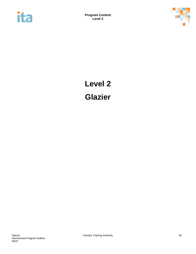



# **Level 2 Glazier**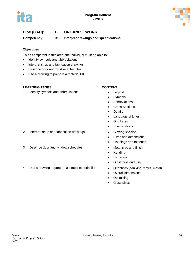



# **Line (GAC): B ORGANIZE WORK**

**Competency: B1 Interpret drawings and specifications**

### **Objectives**

To be competent in this area, the individual must be able to:

- Identify symbols and abbreviations
- Interpret shop and fabrication drawings
- Describe door and window schedules
- Use a drawing to prepare a material list

### **LEARNING TASKS CONTENT**

1. Identify symbols and abbreviations • Legend

- 
- Symbols
- Abbreviations
- Cross Sections
- **Details**
- Language of Lines
- Grid Lines
- Specifications
- 2. Interpret shop and fabrication drawings Glazing-specific
	- Sizes and dimensions
	- Flashings and fasteners
- 3. Describe door and window schedules Metal type and finish
	- Handing
	- Hardware
	- Glass type and use
- 4. Use a drawing to prepare a simple material list **•** Quantities (caulking, vinyls, metal)
	- Overall dimensions
	- Optimizing
	- Glass sizes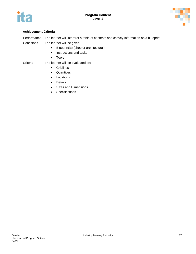



Performance The learner will interpret a table of contents and convey information on a blueprint.

Conditions The learner will be given:

- Blueprint(s) (shop or architectural)
- Instructions and tasks
- Tools

### Criteria The learner will be evaluated on:

- Gridlines
- Quantities
- Locations
- Details
- Sizes and Dimensions
- Specifications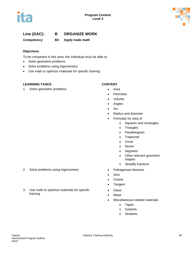



# **Line (GAC): B ORGANIZE WORK**

**Competency: B4 Apply trade math**

### **Objectives**

To be competent in this area, the individual must be able to:

- Solve geometric problems
- Solve problems using trigonometry
- Use math to optimize materials for specific framing

### **LEARNING TASKS CONTENT**

1. Solve geometric problems **•** Area

- 
- Perimeter
- Volume
- Angles
- Arc
- Radius and diameter
- Formulas for area of
	- o Squares and rectangles
	- o Triangles
	- o Parallelogram
	- o Trapezoid
	- o Circle
	- o Sector
	- o Segment
	- o Other relevant geometric shapes
	- o Simplify fractions
- 
- Sine
- Cosine
- Tangent
- Glass
- Metal
- Miscellaneous related materials
	- o Tapes
	- o Gaskets
	- o Sealants
- 2. Solve problems using trigonometry **•** Pythagorean theorem
- 3. Use math to optimize materials for specific framing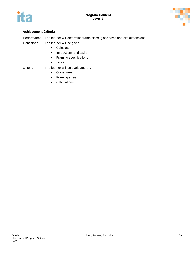



Performance The learner will determine frame sizes, glass sizes and site dimensions.

Conditions The learner will be given:

- Calculator
- Instructions and tasks
- Framing specifications
- Tools

### Criteria The learner will be evaluated on:

- Glass sizes
- Framing sizes
- Calculations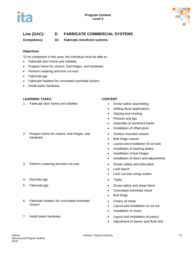



# **Line (GAC): D FABRICATE COMMERCIAL SYSTEMS**

**Competency: D1 Fabricate storefront systems**

### **Objectives**

To be competent in this area, the individual must be able to:

- Fabricate door frame and sidelites
- Prepare frame for closers, butt hinges, and hardware
- Perform routering and lock cut-outs
- Fabricate jigs
- Fabricate headers for concealed overhead closers
- Install panic hardware

### **LEARNING TASKS CONTENT**

1. Fabricate door frame and sidelites **•** Screw spline assembling

### 2. Prepare frame for closers, butt hinges, and hardware

- 3. Perform routering and lock cut-outs **•** Router safety and lubrication
- 4. Describe jigs **•** Types
- 
- 6. Fabricate headers for concealed overhead closers
- 

- 
- Setting block applications
- Glazing and vinyling
- Presses and jigs
- Assembly of storefront frame
- Installation of offset pivot
- Surface mounted closers
- Butt hinge cutouts
- Layout and installation of cut-outs
- Installation of backing plates
- Installation of butt hinges
- Installation of doors and adjustments
- 
- Lock layout
- Lock cut-outs using routers
- 
- 5. Fabricate jigs **6. Fabricate in the set of the set of the set of the Screw spline and shear block** 
	- Concealed overhead closer
	- Butt hinge
	- Choice of metal
	- Layout and installation of cut-out
	- Installation of closer
- 7. Install panic hardware Layout and installation of panics
	- Adjustment of panics and flush bolt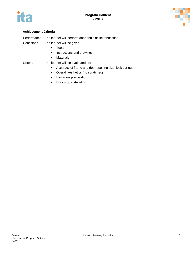



### **Achievement Criteria**

Performance The learner will perform door and sidelite fabrication.

Conditions The learner will be given:

- Tools
- Instructions and drawings
- Materials

# Criteria The learner will be evaluated on:

- Accuracy of frame and door opening size, lock cut-out
- Overall aesthetics (no scratches)
- Hardware preparation
- Door stop installation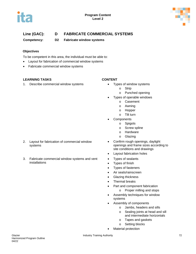



# **Line (GAC): D FABRICATE COMMERCIAL SYSTEMS**

**Competency: D2 Fabricate window systems**

### **Objectives**

To be competent in this area, the individual must be able to:

- Layout for fabrication of commercial window systems
- Fabricate commercial window systems

### **LEARNING TASKS CONTENT**

1. Describe commercial window systems • Types of window systems

- - o Strip
	- o Punched opening
- Types of operable windows
	- o Casement
	- o Awning
	- o Hopper
	- o Tilt turn
- **Components** 
	- o Spigots
	- o Screw spline
	- o Hardware
	- o Glazing
- Confirm rough openings, daylight openings and frame sizes according to site conditions and drawings
- Layout fabrication holes
- Types of sealants
- Types of finish
- Types of fasteners
- Air seals/rainscreen
- Glazing thickness
- Thermal breaks
- Part and component fabrication
	- o Proper milling and stops
- Assembly techniques for window systems
- Assembly of components
	- o Jambs, headers and sills
	- o Sealing joints at head and sill and intermediate horizontals
	- o Tapes and gaskets
	- o Setting blocks
- Material protection

2. Layout for fabrication of commercial window systems

3. Fabricate commercial window systems and vent installations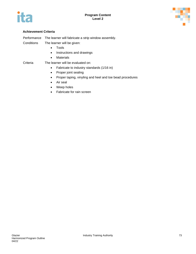



### **Achievement Criteria**

Performance The learner will fabricate a strip window assembly.

Conditions The learner will be given:

- Tools
- Instructions and drawings
- Materials

# Criteria The learner will be evaluated on:

- Fabricate to industry standards (1/16 in)
- Proper joint sealing
- Proper taping, vinyling and heel and toe bead procedures
- Air seal
- Weep holes
- Fabricate for rain screen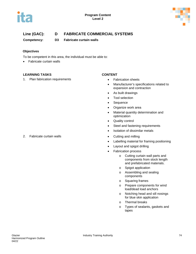



# **Line (GAC): D FABRICATE COMMERCIAL SYSTEMS**

**Competency: D3 Fabricate curtain walls**

### **Objectives**

To be competent in this area, the individual must be able to:

• Fabricate curtain walls

### **LEARNING TASKS CONTENT**

1. Plan fabrication requirements **•** Fabrication sheets

- 
- Manufacturer's specifications related to expansion and contraction
- As built drawings
- Tool selection
- Sequence
- Organize work area
- Material quantity determination and optimization
- Quality control
- Steel and fastening requirements
- Isolation of dissimilar metals
- 2. Fabricate curtain walls **Example 2.** Cutting and milling
	- Labelling material for framing positioning
	- Layout and spigot drilling
	- Fabrication process
		- o Cutting curtain wall parts and components from stock length and prefabricated materials.
		- o Spigot application
		- o Assembling and sealing components
		- o Squaring frames
		- o Prepare components for wind load/dead load anchors
		- o Notching head and sill nosings for blue skin application
		- o Thermal breaks
		- o Types of sealants, gaskets and tapes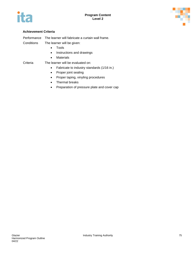



### **Achievement Criteria**

Performance The learner will fabricate a curtain wall frame.

- Conditions The learner will be given:
	- Tools
	- Instructions and drawings
	- Materials

# Criteria The learner will be evaluated on:

- Fabricate to industry standards (1/16 in.)
- Proper joint sealing
- Proper taping, vinyling procedures
- Thermal breaks
- Preparation of pressure plate and cover cap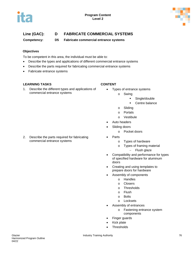



# **Line (GAC): D FABRICATE COMMERCIAL SYSTEMS**

**Competency: D5 Fabricate commercial entrance systems** 

### **Objectives**

To be competent in this area, the individual must be able to:

- Describe the types and applications of different commercial entrance systems
- Describe the parts required for fabricating commercial entrance systems
- Fabricate entrance systems

### **LEARNING TASKS CONTENT**

1. Describe the different types and applications of commercial entrance systems

2. Describe the parts required for fabricating commercial entrance systems

- Types of entrance systems
	- o Swing
		- **Single/double**
		- **•** Centre balance
		- o Sliding
		- o Portals
		- o Vestibule
- Auto headers
- Sliding doors
	- o Pocket doors
- Parts
	- o Types of hardware
	- o Types of framing material
		- − Flush glaze
- Compatibility and performance for types of specified hardware for aluminum doors
- Creating and using templates to prepare doors for hardware
- Assembly of components
	- o Handles
	- o Closers
	- o Thresholds
	- o Flush
	- o Bolts
	- o Locksets
- Assembly of entrances
	- o Fastening entrance system components
- Finger guards
- Kick plate
- **Thresholds**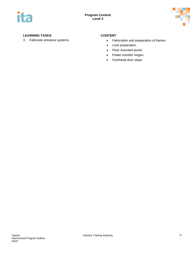



### **LEARNING TASKS CONTENT**

- 3. Fabricate entrance systems **•** Fabrication and preparation of frames
	- Lock preparation
	- Floor mounted pivots
	- Power transfer hinges
	- Overhead door stops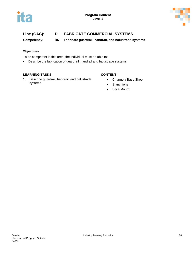



# **Line (GAC): D FABRICATE COMMERCIAL SYSTEMS**

**Competency: D6 Fabricate guardrail, handrail, and balustrade systems** 

### **Objectives**

To be competent in this area, the individual must be able to:

• Describe the fabrication of guardrail, handrail and balustrade systems

### **LEARNING TASKS CONTENT**

1. Describe guardrail, handrail, and balustrade systems

- Channel / Base Shoe
- Stanchions
- Face Mount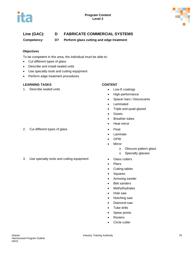



# **Line (GAC): D FABRICATE COMMERCIAL SYSTEMS**

**Competency: D7 Perform glass cutting and edge treatment**

### **Objectives**

To be competent in this area, the individual must be able to:

- Cut different types of glass
- Describe and install sealed units
- Use specialty tools and cutting equipment
- Perform edge treatment procedures

### **LEARNING TASKS CONTENT**

1. Describe sealed units **•** Low-E coatings

- 
- High-performance
- Spacer bars / Descecants
- Laminated
- Triple and quad glazed
- Gases
- Breather tubes
- Heat mirror
- 
- Laminate
- GPW
- Mirror
	- o Obscure pattern glass
	- o Specialty glasses
- 
- Pliers
- Cutting tables
- Squares
- Arrissing sander
- Belt sanders
- Methylhydrates
- Hole saw
- Notching saw
- Diamond saw
- Tube drills
- Spear points
- **Routers**
- Circle cutter
- 2. Cut different types of glass **•** Float
- 3. Use specialty tools and cutting equipment Glass cutters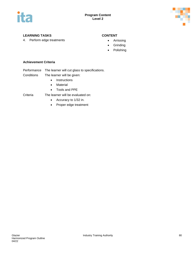



### **LEARNING TASKS CONTENT**

4. Perform edge treatments **•** Arrissing

- 
- Grinding
- Polishing

### **Achievement Criteria**

- Performance The learner will cut glass to specifications.
- Conditions The learner will be given:
	- Instructions
	- Material
	- Tools and PPE
- Criteria The learner will be evaluated on:
	- Accuracy to 1/32 in.
		-
		- Proper edge treatment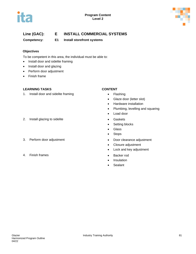



# **Line (GAC): E INSTALL COMMERCIAL SYSTEMS**

**Competency: E1 Install storefront systems**

### **Objectives**

To be competent in this area, the individual must be able to:

- Install door and sidelite framing
- Install door and glazing
- Perform door adjustment
- Finish frame

### **LEARNING TASKS CONTENT**

1. Install door and sidelite framing **•** Flashing

### 2. Install glazing to sidelite **•** Gaskets

- 
- 4. Finish frames Backer rod

- 
- Glaze door (letter slot)
- Hardware installation
- Plumbing, levelling and squaring
- Load door
- 
- Setting blocks
- Glass
- Stops
- 3. Perform door adjustment **•** Door clearance adjustment
	- Closure adjustment
	- Lock and key adjustment
	-
	- Insulation
	- Sealant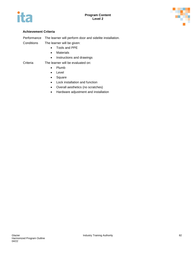



#### **Achievement Criteria**

Performance The learner will perform door and sidelite installation.

- Conditions The learner will be given:
	- Tools and PPE
	- Materials
	- Instructions and drawings

### Criteria The learner will be evaluated on:

- Plumb
- Level
- Square
- Lock installation and function
- Overall aesthetics (no scratches)
- Hardware adjustment and installation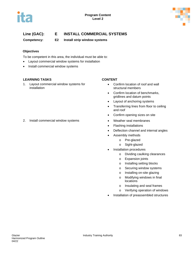



# **Line (GAC): E INSTALL COMMERCIAL SYSTEMS**

**Competency: E2 Install strip window systems**

### **Objectives**

To be competent in this area, the individual must be able to:

- Layout commercial window systems for installation
- Install commercial window systems

### **LEARNING TASKS CONTENT**

1. Layout commercial window systems for installation

- Confirm location of roof and wall structural members
- Confirm location of benchmarks, gridlines and datum points
- Layout of anchoring systems
- Transferring lines from floor to ceiling and roof
- Confirm opening sizes on site
- 2. Install commercial window systems Weather seal membranes
	- Flashing installations
	- Deflection channel and internal angles
	- Assembly methods
		- o Pre-glazed
		- o Sight-glazed
	- Installation procedures
		- o Dividing caulking clearances
		- o Expansion joints
		- o Installing setting blocks
		- o Securing window systems
		- o Installing on-site glazing
		- o Modifying windows in final locations
		- o Insulating and seal frames
		- o Verifying operation of windows
	- Installation of preassembled structures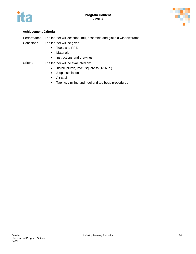



### **Achievement Criteria**

| Performance The learner will describe, mill, assemble and glaze a window frame. |  |
|---------------------------------------------------------------------------------|--|
|---------------------------------------------------------------------------------|--|

- Conditions The learner will be given:
	- Tools and PPE
	- Materials
	- Instructions and drawings
- Criteria The learner will be evaluated on:
	- Install, plumb, level, square to (1/16 in.)
	- Stop installation
	- Air seal
	- Taping, vinyling and heel and toe bead procedures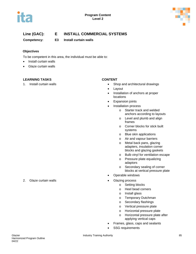



# **Line (GAC): E INSTALL COMMERCIAL SYSTEMS**

**Competency: E3 Install curtain walls**

### **Objectives**

To be competent in this area, the individual must be able to:

- Install curtain walls
- Glaze curtain walls

### **LEARNING TASKS CONTENT**

- 1. Install curtain walls Shop and architectural drawings
	- Layout
	- Installation of anchors at proper locations
	- Expansion joints
	- Installation process
		- o Starter track and welded anchors according to layouts
		- o Level and plumb and align frames
		- o Corner blocks for stick built systems
		- o Blue skin applications
		- o Air and vapour barriers
		- o Metal back pans, glazing adapters, insulation corner blocks and glazing gaskets
		- o Bulb vinyl for ventilation escape
		- o Pressure plate equalizing adaptors
		- o Secondary sealing of corner blocks at vertical pressure plate
	- Operable windows
	- - o Setting blocks
		- o Heel bead corners
		- o Install glass
		- o Temporary Dutchman
		- o Secondary flashings
		- o Vertical pressure plate
		- o Horizontal pressure plate
		- o Horizontal pressure plate after applying vertical caps
	- Frames, glass, caps and sealants
	- SSG requirements

2. Glaze curtain walls **but a controlled a controlled a controlled a controlled a controlled a controlled a controlled a controlled a controlled a controlled a controlled a controlled a controlled a controlled a controlled**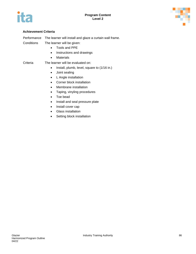



### **Achievement Criteria**

|  | Performance The learner will install and glaze a curtain wall frame. |
|--|----------------------------------------------------------------------|
|--|----------------------------------------------------------------------|

- Conditions The learner will be given:
	- Tools and PPE
	- Instructions and drawings
	- Materials

#### Criteria The learner will be evaluated on:

- Install, plumb, level, square to (1/16 in.)
- Joint sealing
- L Angle installation
- Corner block installation
- Membrane installation
- Taping, vinyling procedures
- Toe bead
- Install and seal pressure plate
- Install cover cap
- Glass installation
- Setting block installation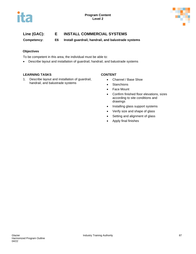



# **Line (GAC): E INSTALL COMMERCIAL SYSTEMS**

**Competency: E6 Install guardrail, handrail, and balustrade systems** 

### **Objectives**

To be competent in this area, the individual must be able to:

• Describe layout and installation of guardrail, handrail, and balustrade systems

### **LEARNING TASKS CONTENT**

1. Describe layout and installation of guardrail, handrail, and balustrade systems

- Channel / Base Shoe
- **Stanchions**
- Face Mount
- Confirm finished floor elevations, sizes according to site conditions and drawings
- Installing glass support systems
- Verify size and shape of glass
- Setting and alignment of glass
- Apply final finishes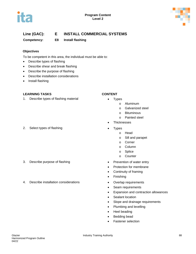



# **Line (GAC): E INSTALL COMMERCIAL SYSTEMS**

**Competency: E8 Install flashing**

### **Objectives**

To be competent in this area, the individual must be able to:

- Describe types of flashing
- Describe shear and break flashing
- Describe the purpose of flashing
- Describe installation considerations
- Install flashing

### **LEARNING TASKS CONTENT**

- 1. Describe types of flashing material **•** Types
- 2. Select types of flashing example of the Types
- 
- 3. Describe purpose of flashing  $\bullet$  Prevention of water entry
- 4. Describe installation considerations **•** Overlap requirements

- - o Aluminum
		- o Galvanized steel
		- o Bituminous
		- o Painted steel
- **Thicknesses**
- - o Head
	- o Sill and parapet
	- o Corner
	- o Column
	- o Splice
	- o Counter
- 
- Protection for membrane
- Continuity of framing
- Finishing
- 
- Seam requirements
- Expansion and contraction allowances
- Sealant location
- Slope and drainage requirements
- Plumbing and levelling
- Heel beading
- Bedding bead
- Fastener selection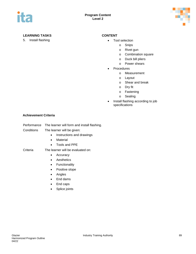

### **LEARNING TASKS CONTENT**

5. Install flashing **• Tool selection** 

- - o Snips
	- o Rivet gun
	- o Combination square
	- o Duck bill pliers
	- o Power shears
- **Procedures** 
	- o Measurement
	- o Layout
	- o Shear and break
	- o Dry fit
	- o Fastening
	- o Sealing
- Install flashing according to job specifications

### **Achievement Criteria**

| Performance<br>The learner will form and install flashing. |
|------------------------------------------------------------|
|                                                            |

- Conditions The learner will be given:
	- Instructions and drawings
	- Material
	- Tools and PPE

### Criteria The learner will be evaluated on:

- Accuracy
- Aesthetics
- Functionality
- Positive slope
- Angles
- End dams
- End caps
- Splice joints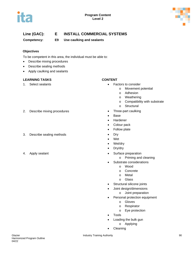



# **Line (GAC): E INSTALL COMMERCIAL SYSTEMS**

**Competency: E9 Use caulking and sealants**

### **Objectives**

To be competent in this area, the individual must be able to:

- Describe mixing procedures
- Describe sealing methods
- Apply caulking and sealants

### **LEARNING TASKS CONTENT**

- 1. Select sealants **•** Factors to consider
	- o Movement potential
	- o Adhesion
	- o Weathering
	- o Compatibility with substrate
	- o Structural
- 2. Describe mixing procedures Three-part caulking
	- Base
	- Hardener
	- Colour pack
	- Follow plate
	-
	- Wet
	- Wet/dry
	- Dry/dry
- 4. Apply sealant **•** Surface preparation
	- o Priming and cleaning
	- Substrate considerations
		- o Wood
		- o Concrete
		- o Metal
		- o Glass
	- Structural silicone joints
	- Joint design/dimensions
		- o Joint preparation
	- Personal protection equipment
		- o Gloves
		- o Respirator
		- o Eye protection
	- Tools
	- Loading the bulk gun
		- o Applying
	- Cleaning

- 3. Describe sealing methods Dry
-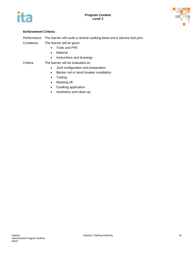



### **Achievement Criteria**

|  |  |  | Performance The learner will caulk a vertical caulking bead and a silicone butt joint. |
|--|--|--|----------------------------------------------------------------------------------------|
|--|--|--|----------------------------------------------------------------------------------------|

Conditions The learner will be given:

- Tools and PPE
- Material
- Instructions and drawings
- Criteria The learner will be evaluated on:
	- Joint configuration and preparation
	- Backer rod or bond breaker installation
	- Tooling
	- Masking off
	- Caulking application
	- Aesthetics and clean-up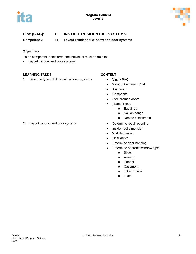



**Competency: F1 Layout residential window and door systems** 

### **Objectives**

To be competent in this area, the individual must be able to:

• Layout window and door systems

### **LEARNING TASKS CONTENT**

1. Describe types of door and window systems • Vinyl / PVC

- 
- Wood / Aluminum Clad
- Aluminum
- Composite
- Steel framed doors
- Frame Types
	- o Equal leg
	- o Nail on flange
	- o Rebate / Brickmold
- 2. Layout window and door systems Determine rough opening
	- Inside heel dimension
	- Wall thickness
	- Liner depth
	- Determine door handing
	- Determine operable window type
		- o Slider
		- o Awning
		- o Hopper
		- o Casement
		- o Tilt and Turn
		- o Fixed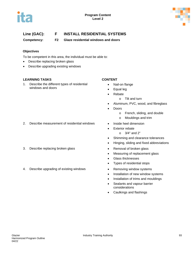



**Competency: F2 Glaze residential windows and doors** 

### **Objectives**

To be competent in this area, the individual must be able to:

- Describe replacing broken glass
- Describe upgrading existing windows

### **LEARNING TASKS CONTENT**

1. Describe the different types of residential windows and doors

- Nail-on flange
- Equal leg
- Rebate
	- o Tilt and turn
- Aluminum, PVC, wood, and fibreglass
- Doors
	- o French, sliding, and double
	- o Mouldings and trim
- 
- **Exterior rebate** 
	- o 3/4" and 2"
- Shimming and clearance tolerances
- Hinging, sliding and fixed abbreviations
- 3. Describe replacing broken glass **•** Removal of broken glass
	- Measuring of replacement glass
	- Glass thicknesses
	- Types of residential stops
- 4. Describe upgrading of existing windows **•** Removing window systems
	- Installation of new window systems
	- Installation of trims and mouldings
	- Sealants and vapour barrier considerations
	- Caulkings and flashings

2. Describe measurement of residential windows • Inside heel dimension

04/22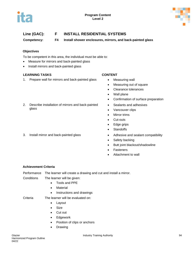



**Competency: F4 Install shower enclosures, mirrors, and back-painted glass**

### **Objectives**

To be competent in this area, the individual must be able to:

- Measure for mirrors and back-painted glass
- Install mirrors and back-painted glass

### **LEARNING TASKS CONTENT**

glass

1. Prepare wall for mirrors and back-painted glass • Measuring wall

2. Describe installation of mirrors and back-painted

- 
- Measuring out of square
- Clearance tolerances
- Wall plane
- Confirmation of surface preparation
- Sealants and adhesives
- Vancouver clips
- Mirror trims
- Cut-outs
- Edge grips
- Standoffs
- 3. Install mirror and back-painted glass Adhesive and sealant compatibility
	- Safety backing
	- Butt joint blackout/shadowline
	- **Fasteners**
	- Attachment to wall

### **Achievement Criteria**

Performance The learner will create a drawing and cut and install a mirror.

- Conditions The learner will be given:
	- Tools and PPE
	- Material
	- Instructions and drawings
- Criteria The learner will be evaluated on:
	- Layout
	- Size
	- Cut out
	- Edgework
	- Position of clips or anchors
	- Drawing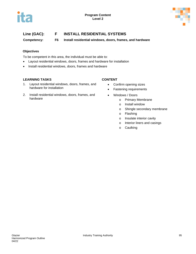



**Competency: F6 Install residential windows, doors, frames, and hardware** 

### **Objectives**

To be competent in this area, the individual must be able to:

- Layout residential windows, doors, frames and hardware for installation
- Install residential windows, doors, frames and hardware

#### **LEARNING TASKS CONTENT**

- 1. Layout residential windows, doors, frames, and hardware for installation
- 2. Install residential windows, doors, frames, and hardware

- Confirm opening sizes
- Fastening requirements
- Windows / Doors
	- o Primary Membrane
	- o Install window
	- o Shingle secondary membrane
	- o Flashing
	- o Insulate interior cavity
	- o Interior liners and casings
	- o Caulking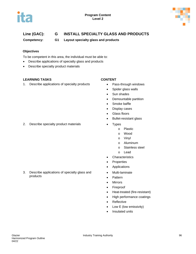



# **Line (GAC): G INSTALL SPECIALTY GLASS AND PRODUCTS**

**Competency: G1 Layout specialty glass and products** 

### **Objectives**

To be competent in this area, the individual must be able to:

- Describe applications of specialty glass and products
- Describe specialty product materials

### **LEARNING TASKS CONTENT**

1. Describe applications of specialty products • Pass-through windows

- 
- Spider glass walls
- Sun shades
- Demountable partition
- Smoke baffle
- Display cases
- Glass floors
- Bullet-resistant glass
- - o Plastic
	- o Wood
	- o Vinyl
	- o Aluminum
	- o Stainless steel
	- o Lead
- Characteristics
- **Properties**
- Applications
- Multi-laminate
- Pattern
- Mirrors
- Fireproof
- Heat-treated (fire-resistant)
- High performance coatings
- Reflective
- Low E (low emissivity)
- Insulated units

2. Describe specialty product materials • Types

3. Describe applications of specialty glass and

products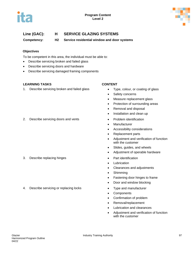



# **Line (GAC): H SERVICE GLAZING SYSTEMS**

**Competency: H2 Service residential window and door systems** 

#### **Objectives**

To be competent in this area, the individual must be able to:

- Describe servicing broken and failed glass
- Describe servicing doors and hardware
- Describe servicing damaged framing components

#### **LEARNING TASKS CONTENT**

1. Describe servicing broken and failed glass • Type, colour, or coating of glass

- 
- Safety concerns
- Measure replacement glass
- Protection of surrounding areas
- Removal and disposal
- Installation and clean up
- 2. Describe servicing doors and vents **•** Problem identification
	- Manufacturer
	- Accessibility considerations
	- Replacement parts
	- Adjustment and verification of function with the customer
	- Slides, guides, and wheels
	- Adjustment of operable hardware
	-
	- Lubrication
	- Clearances and adjustments
	- Shimming
	- Fastening door hinges to frame
	- Door and window blocking
	-
	- Components
	- Confirmation of problem
	- Removal/replacement
	- Lubrication and clearances
	- Adjustment and verification of function with the customer

### 3. Describe replacing hinges • Part identification

4. Describe servicing or replacing locks **•** Type and manufacturer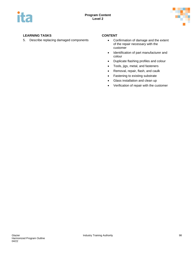

### **LEARNING TASKS CONTENT**

5. Describe replacing damaged components • Confirmation of damage and the extent

- of the repair necessary with the customer
- Identification of part manufacturer and colour
- Duplicate flashing profiles and colour
- Tools, jigs, metal, and fasteners
- Removal, repair, flash, and caulk
- Fastening to existing substrate
- Glass installation and clean up
- Verification of repair with the customer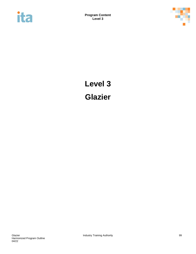



# **Level 3 Glazier**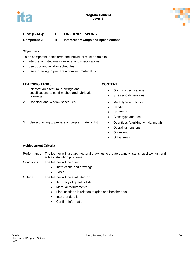



**Competency: B1 Interpret drawings and specifications**

#### **Objectives**

To be competent in this area, the individual must be able to:

- Interpret architectural drawings and specifications
- Use door and window schedules
- Use a drawing to prepare a complex material list

#### **LEARNING TASKS CONTENT**

- 1. Interpret architectural drawings and specifications to confirm shop and fabrication drawings
- 2. Use door and window schedules Metal type and finish

- Glazing specifications
- Sizes and dimensions
- 
- Handing
- Hardware
- Glass type and use
- 3. Use a drawing to prepare a complex material list Quantities (caulking, vinyls, metal)
	- Overall dimensions
	- Optimizing
	- Glass sizes

#### **Achievement Criteria**

- Performance The learner will use architectural drawings to create quantity lists, shop drawings, and solve installation problems.
- Conditions The learner will be given:
	- Instructions and drawings
	- Tools
- Criteria The learner will be evaluated on:
	- Accuracy of quantity lists
	- Material requirements
	- Find locations in relation to grids and benchmarks
	- Interpret details
	- Confirm information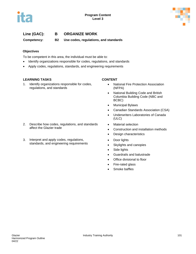



**Competency: B2 Use codes, regulations, and standards**

### **Objectives**

To be competent in this area, the individual must be able to:

- Identify organizations responsible for codes, regulations, and standards
- Apply codes, regulations, standards, and engineering requirements

### **LEARNING TASKS CONTENT**

1. Identify organizations responsible for codes, regulations, and standards

2. Describe how codes, regulations, and standards

3. Interpret and apply codes, regulations, standards, and engineering requirements

affect the Glazier trade

- National Fire Protection Association (NFPA)
- National Building Code and British Columbia Building Code (NBC and BCBC)
- Municipal Bylaws
- Canadian Standards Association (CSA)
- Underwriters Laboratories of Canada (ULC)
- Material selection
- Construction and installation methods
- Design characteristics
- Door lights
- Skylights and canopies
- Side lights
- Guardrails and balustrade
- Office divisional to floor
- Fire-rated glass
- Smoke baffles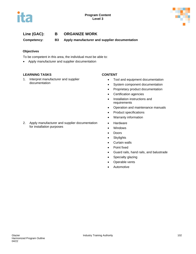



**Competency: B3 Apply manufacturer and supplier documentation**

### **Objectives**

To be competent in this area, the individual must be able to:

• Apply manufacturer and supplier documentation

#### **LEARNING TASKS CONTENT**

1. Interpret manufacturer and supplier documentation

- Tool and equipment documentation
- System component documentation
- Proprietary product documentation
- Certification agencies
- Installation instructions and requirements
- Operation and maintenance manuals
- Product specifications
- Warranty information
- Hardware
- Windows
- Doors
- Skylights
- Curtain walls
- Point fixed
- Guard rails, hand rails, and balustrade
- Specialty glazing
- Operable vents
- Automotive

2. Apply manufacturer and supplier documentation for installation purposes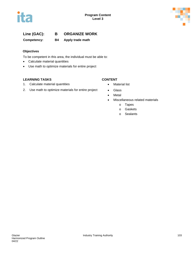



**Competency: B4 Apply trade math**

### **Objectives**

To be competent in this area, the individual must be able to:

- Calculate material quantities
- Use math to optimize materials for entire project

### **LEARNING TASKS CONTENT**

- 1. Calculate material quantities **•** Material list
- 2. Use math to optimize materials for entire project Glass

- 
- 
- Metal
- Miscellaneous related materials
	- o Tapes
	- o Gaskets
	- o Sealants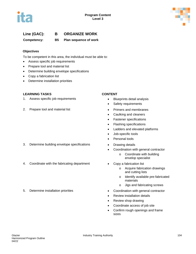



**Competency: B5 Plan sequence of work**

#### **Objectives**

To be competent in this area, the individual must be able to:

- Assess specific job requirements
- Prepare tool and material list
- Determine building envelope specifications
- Copy a fabrication list
- Determine installation priorities

#### **LEARNING TASKS CONTENT**

- 1. Assess specific job requirements **•** Blueprints detail analysis
- 2. Prepare tool and material list **• Primers and membranes**

- 
- Safety requirements
- 
- Caulking and cleaners
- Fastener specifications
- Flashing specifications
- Ladders and elevated platforms
- Job-specific tools
- Personal tools
- 
- Coordination with general contractor
	- o Coordinate with building envelop specialist
- - o Acquire fabrication drawings and cutting lists
	- o Identify available pre-fabricated materials
	- o Jigs and fabricating screws
- 5. Determine installation priorities Coordination with general contractor
	- Review installation details
	- Review shop drawing
	- Coordinate access of job site
	- Confirm rough openings and frame sizes

### 3. Determine building envelope specifications • Drawing details

- 4. Coordinate with the fabricating department Copy a fabrication list
-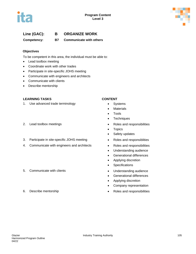



**Competency: B7 Communicate with others**

#### **Objectives**

To be competent in this area, the individual must be able to:

- Lead toolbox meeting
- Coordinate work with other trades
- Participate in site-specific JOHS meeting
- Communicate with engineers and architects
- Communicate with clients
- Describe mentorship

#### **LEARNING TASKS CONTENT**

- 1. Use advanced trade terminology **•** Systems
- 
- 3. Participate in site-specific JOHS meeting Roles and responsiblities
- 4. Communicate with engineers and architects Roles and responsibilities
- 5. Communicate with clients **•** Understanding audience

- 
- Materials
- Tools
- Techniques
- 2. Lead toolbox meetings **and responsibilities •** Roles and responsibilities
	- Topics
	- Safety updates
	-
	-
	- Understanding audience
	- Generational differences
	- Applying discretion
	- Specifications
	-
	- Generational differences
	- Applying discretion
	- Company representation
- 6. Describe mentorship Roles and responsibilities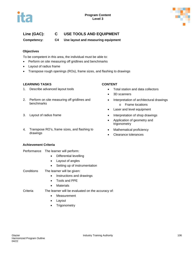



# **Line (GAC): C USE TOOLS AND EQUIPMENT**

**Competency: C4 Use layout and measuring equipment**

### **Objectives**

To be competent in this area, the individual must be able to:

- Perform on site measuring off gridlines and benchmarks
- Layout of radius frame
- Transpose rough openings (ROs), frame sizes, and flashing to drawings

#### **LEARNING TASKS CONTENT**

- 1. Describe advanced layout tools **•** Total station and data collectors
- 2. Perform on site measuring off gridlines and benchmarks
- 
- 4. Transpose RO's, frame sizes, and flashing to drawings

### **Achievement Criteria**

- Performance The learner will perform:
	- Differential levelling
	- Layout of angles
	- Setting up of instrumentation
- Conditions The learner will be given:
	- Instructions and drawings
	- Tools and PPE
	- Materials

### Criteria The learner will be evaluated on the accuracy of:

- Measurement
- Layout
- Trigonometry
- - -

- 
- 3D scanners
- Interpretation of architectural drawings o Frame locations
- Laser and level equipment
- 3. Layout of radius frame **• interpretation of shop drawings** 
	- Application of geometry and trigonometry
	- Mathematical proficiency
	- Clearance tolerances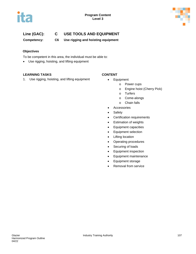



# **Line (GAC): C USE TOOLS AND EQUIPMENT**

**Competency: C6 Use rigging and hoisting equipment**

### **Objectives**

To be competent in this area, the individual must be able to:

• Use rigging, hoisting, and lifting equipment

### **LEARNING TASKS CONTENT**

1. Use rigging, hoisting, and lifting equipment • Equipment

- - o Power cups
	- o Engine hoist (Cherry Pick)
	- o Turfers
	- o Come-alongs
	- o Chain falls
- Accessories
- Safety
- Certification requirements
- Estimation of weights
- Equipment capacities
- Equipment selection
- Lifting location
- Operating procedures
- Securing of loads
- Equipment inspection
- Equipment maintenance
- Equipment storage
- Removal from service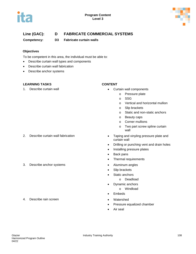



### **Line (GAC): D FABRICATE COMMERCIAL SYSTEMS**

**Competency: D3 Fabricate curtain walls** 

#### **Objectives**

To be competent in this area, the individual must be able to:

- Describe curtain wall types and components
- Describe curtain wall fabrication
- Describe anchor systems

#### **LEARNING TASKS CONTENT**

- 1. Describe curtain wall **interest and the Curtain wall components** 
	- o Pressure plate
		- o SSG
		- o Vertical and horizontal mullion
		- o Slip brackets
		- o Static and non-static anchors
		- o Beauty caps
		- o Corner mullions
		- o Two part screw spline curtain wall
- 2. Describe curtain wall fabrication **•** Taping and vinyling pressure plate and curtain wall
	- Drilling or punching vent and drain holes
	- Installing pressure plates
	- Back pans
	- Thermal requirements
- 3. Describe anchor systems Aluminum angles
	- Slip brackets
	- Static anchors
		- o Deadload
	- Dynamic anchors
		- o Windload
	- Embeds
	-
	- Pressure equalized chamber
	- Air seal

4. Describe rain screen **•** Watershed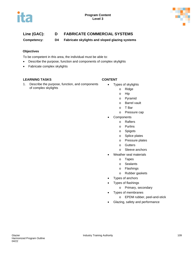



# **Line (GAC): D FABRICATE COMMERCIAL SYSTEMS**

**Competency: D4 Fabricate skylights and sloped glazing systems**

### **Objectives**

To be competent in this area, the individual must be able to:

- Describe the purpose, function and components of complex skylights
- Fabricate complex skylights

#### **LEARNING TASKS CONTENT**

1. Describe the purpose, function, and components of complex skylights

- Types of skylights
	- o Ridge
	- o Hip
	- o Pyramid
	- o Barrel vault
	- o T Bar
	- o Pressure cap
- Components
	- o Rafters
	- o Purlins
	- o Spigots
	- o Splice plates
	- o Pressure plates
	- o Gutters
	- o Sleeve anchors
- Weather seal materials
	- o Tapes
	- o Sealants
	- o Flashings
	- o Rubber gaskets
- Types of anchors
- Types of flashings
	- o Primary, secondary
- Types of membranes
	- o EPDM rubber, peel-and-stick
- Glazing, safety and performance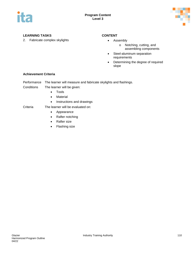



### **LEARNING TASKS CONTENT**

2. Fabricate complex skylights **•** Assembly

- - o Notching, cutting, and assembling components
- Steel-aluminum separation requirements
- Determining the degree of required slope

#### **Achievement Criteria**

Performance The learner will measure and fabricate skylights and flashings.

- Conditions The learner will be given:
	- Tools
	- Material
	- Instructions and drawings

#### Criteria The learner will be evaluated on:

- Appearance
- Rafter notching
- Rafter size
- Flashing size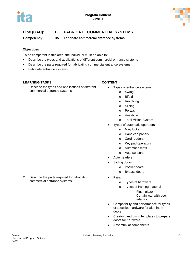

# **Line (GAC): D FABRICATE COMMERCIAL SYSTEMS**

**Competency: D5 Fabricate commercial entrance systems**

### **Objectives**

To be competent in this area, the individual must be able to:

- Describe the types and applications of different commercial entrance systems
- Describe the parts required for fabricating commercial entrance systems
- Fabricate entrance systems

### **LEARNING TASKS CONTENT**

1. Describe the types and applications of different commercial entrance systems

- Types of entrance systems
	- o Swing
	- o Bifold
	- o Revolving
	- o Sliding
	- o Portals
	- o Vestibule
	- o Total Vision System
- Types of automatic operators
	- o Mag locks
	- o Handicap panels
	- o Card readers
	- o Key pad operators
	- o Automatic mats
	- o Auto sensors
- Auto headers
- Sliding doors
	- o Pocket doors
	- o Bypass doors
- Parts
	- o Types of hardware
	- o Types of framing material
		- − Flush glaze
		- − Curtain wall with door adaptor
- Compatibility and performance for types of specified hardware for aluminum doors
- Creating and using templates to prepare doors for hardware
- Assembly of components

2. Describe the parts required for fabricating commercial entrance systems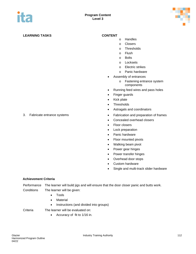

### **LEARNING TASKS CONTENT**

- o Handles
- o Closers
- o Thresholds
- o Flush
- o Bolts
- o Locksets
- o Electric strikes
- o Panic hardware
- Assembly of entrances
	- o Fastening entrance system components
- Running feed wires and pass holes
- Finger guards
- Kick plate
- Thresholds
- Astragals and coordinators
- 3. Fabricate entrance systems Fabrication and preparation of frames
	- Concealed overhead closers
	- Floor closers
	- Lock preparation
	- Panic hardware
	- Floor mounted pivots
	- Walking beam pivot
	- Power gear hinges
	- Power transfer hinges
	- Overhead door stops
	- Custom hardware
	- Single and multi-track slider hardware

#### **Achievement Criteria**

Performance The learner will build jigs and will ensure that the door closer panic and butts work. Conditions The learner will be given:

- Tools
- Material
- Instructions (and divided into groups)

- Criteria The learner will be evaluated on:
	- Accuracy of fit to 1/16 in.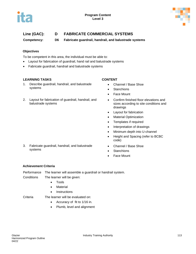



# **Line (GAC): D FABRICATE COMMERCIAL SYSTEMS**

**Competency: D6 Fabricate guardrail, handrail, and balustrade systems**

#### **Objectives**

To be competent in this area, the individual must be able to:

- Layout for fabrication of guardrail, hand rail and balustrade systems
- Fabricate guardrail, handrail and balustrade systems

### **LEARNING TASKS CONTENT**

- 1. Describe guardrail, handrail, and balustrade systems
- 2. Layout for fabrication of guardrail, handrail, and balustrade systems

- Channel / Base Shoe
- Stanchions
- Face Mount
- Confirm finished floor elevations and sizes according to site conditions and drawings
- Layout for fabrication
- Material Optimization
- Templates if required
- Interpretation of drawings
- Minimum depth into U-channel
- Height and Spacing (refer to BCBC code)
- Channel / Base Shoe
- **Stanchions**
- **Face Mount**

#### **Achievement Criteria**

systems

Performance The learner will assemble a guardrail or handrail system.

- Conditions The learner will be given:
	- Tools

3. Fabricate guardrail, handrail, and balustrade

- **Material**
- Instructions
- Criteria The learner will be evaluated on:
	- Accuracy of fit to 1/16 in.
	- Plumb, level and alignment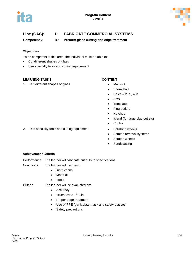



# **Line (GAC): D FABRICATE COMMERCIAL SYSTEMS**

**Competency: D7 Perform glass cutting and edge treatment**

#### **Objectives**

To be competent in this area, the individual must be able to:

- Cut different shapes of glass
- Use specialty tools and cutting equipement

#### **LEARNING TASKS CONTENT**

1. Cut different shapes of glass **•** Mail slot

- 
- Speak hole
- $\bullet$  Holes  $-2$  in., 4 in.
- Arcs
- Templates
- Plug outlets
- Notches
- Island (for large plug outlets)
- Circles
- 2. Use specialty tools and cutting equipment Polishing wheels
	- Scratch removal systems
	- Scratch wheels
	- Sandblasting

#### **Achievement Criteria**

Performance The learner will fabricate cut outs to specifications.

Conditions The learner will be given:

- Instructions
- Material
- Tools

Criteria The learner will be evaluated on:

- Accuracy
- Trueness to 1/32 in.
- Proper edge treatment
- Use of PPE (particulate mask and safety glasses)
- Safety precautions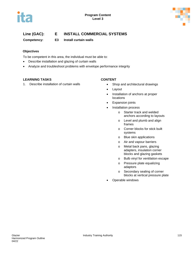



**Competency: E3 Install curtain walls** 

### **Objectives**

To be competent in this area, the individual must be able to:

- Describe installation and glazing of curtain walls
- Analyze and troubleshoot problems with envelope performance integrity

#### **LEARNING TASKS CONTENT**

1. Describe installation of curtain walls **•** Shop and architectural drawings

- 
- Layout
- Installation of anchors at proper locations
- Expansion joints
- Installation process
	- o Starter track and welded anchors according to layouts
	- o Level and plumb and align frames
	- o Corner blocks for stick built systems
	- o Blue skin applications
	- o Air and vapour barriers
	- o Metal back pans, glazing adapters, insulation corner blocks and glazing gaskets
	- o Bulb vinyl for ventilation escape
	- o Pressure plate equalizing adaptors
	- o Secondary sealing of corner blocks at vertical pressure plate
- Operable windows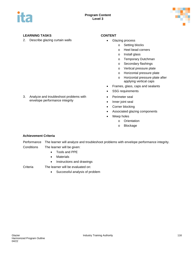



### **LEARNING TASKS CONTENT**

2. Describe glazing curtain walls **•** Glazing process

- - o Setting blocks
		- o Heel bead corners
		- o Install glass
		- o Temporary Dutchman
		- o Secondary flashings
		- o Vertical pressure plate
		- o Horizontal pressure plate
	- o Horizontal pressure plate after applying vertical caps
- Frames, glass, caps and sealants
- SSG requirements
- Perimeter seal
- Inner joint seal
- Corner blocking
- Associated glazing components
- Weep holes
	- o Orientation
	- o Blockage

### 3. Analyze and troubleshoot problems with envelope performance integrity

#### **Achievement Criteria**

Performance The learner will analyze and troubleshoot problems with envelope performance integrity. Conditions The learner will be given:

- Tools and PPE
- Materials
- Instructions and drawings

Criteria The learner will be evaluated on:

• Successful analysis of problem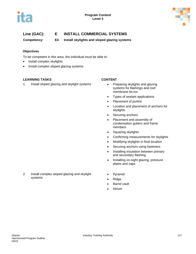



**Competency: E4 Install skylights and sloped glazing systems**

#### **Objectives**

To be competent in this area, the individual must be able to:

- Install complex skylights
- Install complex sloped glazing systems

#### **LEARNING TASKS CONTENT**

1. Install sloped glazing and skylight systems • Preparing skylights and glazing

- systems for flashings and roof membrane tie-ins
- Types of sealant applications
- Placement of purlins
- Location and placement of anchors for skylights
- Securing anchors
- Placement and assembly of condensation gutters and frame members
- Squaring skylights
- Confirming measurements for skylights
- Modifying skylights in final location
- Securing anchors using fasteners
- Installing insulation between primary and secondary flashing
- Installing on-sight glazing, pressure plates and caps
- **Pyramid**
- Ridge
- **Barrel vault**
- Atrium
- 2. Install complex sloped glazing and skylight systems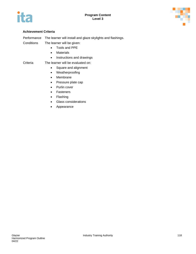



#### **Achievement Criteria**

Performance The learner will install and glaze skylights and flashings.

- Conditions The learner will be given:
	- Tools and PPE
	- Materials
	- Instructions and drawings

#### Criteria The learner will be evaluated on:

- Square and alignment
- Weatherproofing
- Membrane
- Pressure plate cap
- Purlin cover
- Fasteners
- Flashing
- Glass considerations
- Appearance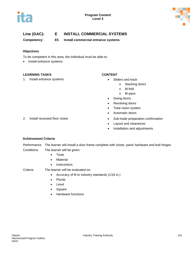



**Competency: E5 Install commercial entrance systems**

#### **Objectives**

To be competent in this area, the individual must be able to:

• Install entrance systems

#### **LEARNING TASKS CONTENT**

1. Install entrance systems **•** Sliders and track

- - o Stacking doors
	- o Bi-fold
	- o Bi-pass
- Swing doors
- Revolving doors
- Total vision system
- Automatic doors
- 2. Install recessed floor closer **•** Sub-trade preparation confirmation
	- Layout and clearances
	- Installation and adjustments

#### **Achievement Criteria**

Performance The learner will install a door frame complete with closer, panic hardware and butt hinges. Conditions The learner will be given:

- Tools
- Material
- Instructions

Criteria The learner will be evaluated on:

- Accuracy of fit to industry standards (1/16 in.)
- Plumb
- Level
- Square
- Hardware functions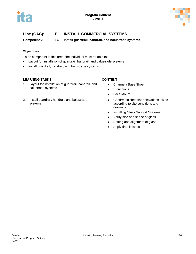



**Competency: E6 Install guardrail, handrail, and balustrade systems**

### **Objectives**

To be competent in this area, the individual must be able to:

- Layout for installation of guardrail, handrail, and balustrade systems
- Install guardrail, handrail, and balustrade systems

#### **LEARNING TASKS CONTENT**

- 1. Layout for installation of guardrail, handrail, and balustrade systems
- 2. Install guardrail, handrail, and balustrade systems

- Channel / Base Shoe
- Stanchions
- Face Mount
- Confirm finished floor elevations, sizes according to site conditions and drawings
- Installing Glass Support Systems
- Verify size and shape of glass
- Setting and alignment of glass
- Apply final finishes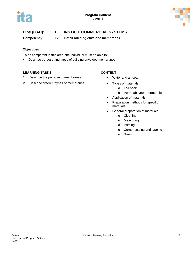

**Competency: E7 Install building envelope membranes**

### **Objectives**

To be competent in this area, the individual must be able to:

• Describe purpose and types of building envelope membranes

### **LEARNING TASKS CONTENT**

- 1. Describe the purpose of membranes Water and air seal
- 2. Describe different types of membranes Types of materials

- - o Foil back
	- o Permeable/non-permeable
- Application of materials
- Preparation methods for specific materials
- General preparation of materials
	- o Cleaning
	- o Measuring
	- o Priming
	- o Corner sealing and lapping
	- o Sizes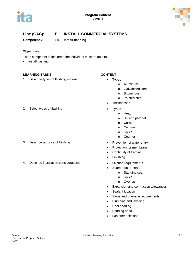



**Competency: E8 Install flashing** 

#### **Objectives**

To be competent in this area, the individual must be able to:

• Install flashing

#### **LEARNING TASKS CONTENT**

1. Describe types of flashing material • Types

#### 2. Select types of flashing example of the Types

- 
- 4. Describe installation considerations **•** Overlap requirements

- - o Aluminum
		- o Galvanized steel
	- o Bituminous
	- o Painted steel
	- **Thicknesses**
- - o Head
	- o Sill and parapet
	- o Corner
	- o Column
	- o Splice
	- o Counter
- 3. Describe purpose of flashing  $\bullet$  Prevention of water entry
	- Protection for membrane
	- Continuity of framing
	- Finishing
	-
	- Seam requirements
		- o Standing seam
		- o Splice
		- o Overlap
	- Expansion and contraction allowances
	- Sealant location
	- Slope and drainage requirements
	- Plumbing and levelling
	- Heel beading
	- Bedding bead
	- Fastener selection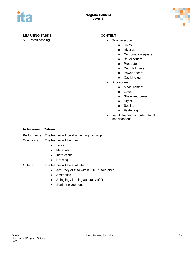

### **LEARNING TASKS CONTENT**

5. Install flashing **• Tool selection** 

- - o Snips
		- o Rivet gun
		- o Combination square
		- o Bevel square
		- o Protractor
		- o Duck bill pliers
		- o Power shears
		- o Caulking gun
- **Procedures** 
	- o Measurement
	- o Layout
	- o Shear and break
	- o Dry fit
	- o Sealing
	- o Fastening
- Install flashing according to job specifications

#### **Achievement Criteria**

Performance The learner will build a flashing mock-up.

Conditions The learner will be given:

- Tools
- Materials
- Instructions
- Drawing

Criteria The learner will be evaluated on:

- Accuracy of fit to within 1/16 in. tolerance
- Aesthetics
- Shingling / lapping accuracy of fit
- Sealant placement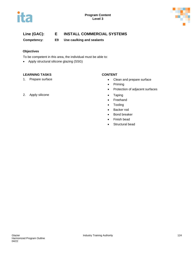



**Competency: E9 Use caulking and sealants**

### **Objectives**

To be competent in this area, the individual must be able to:

• Apply structural silicone glazing (SSG)

#### **LEARNING TASKS CONTENT**

- 1. Prepare surface  **Clean and prepare surface** 
	- Priming
	- Protection of adjacent surfaces
	-
	- Freehand
	- Tooling
	- Backer rod
	- Bond breaker
	- Finish bead
	- Structural bead
- 2. Apply silicone **•** Taping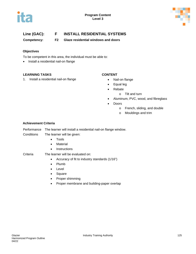



**Competency: F2 Glaze residential windows and doors** 

### **Objectives**

To be competent in this area, the individual must be able to:

• Install a residential nail-on flange

#### **LEARNING TASKS CONTENT**

1. Install a residential nail-on flange **•** Nail-on flange

- 
- Equal leg
- Rebate
	- o Tilt and turn
- Aluminum, PVC, wood, and fibreglass
- Doors
	- o French, sliding, and double
	- o Mouldings and trim

#### **Achievement Criteria**

| The learner will install a residential nail-on flange window. |
|---------------------------------------------------------------|
|                                                               |

#### Conditions The learner will be given:

- Tools
- Material
- Instructions

- Criteria The learner will be evaluated on:
	- Accuracy of fit to industry standards (1/16")
	- Plumb
	- Level
	- Square
	- Proper shimming
	- Proper membrane and building-paper overlap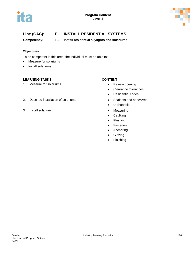



**Competency: F3 Install residential skylights and solariums**

### **Objectives**

To be competent in this area, the individual must be able to:

- Measure for solariums
- Install solariums

### **LEARNING TASKS CONTENT**

1. Measure for solariums **and the set of the set of the set of the Review opening** 

- 
- Clearance tolerances
- Residential codes
- 
- U-channels
- 
- Caulking
- Flashing
- Fasteners
- Anchoring
- Glazing
- Finishing
- 2. Describe installation of solariums **•** Sealants and adhesives
- 3. Install solarium **•** Measuring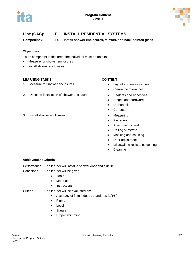



**Competency: F4 Install shower enclosures, mirrors, and back-painted glass**

#### **Objectives**

To be competent in this area, the individual must be able to:

- Measure for shower enclosures
- Install shower enclosures

#### **LEARNING TASKS CONTENT**

- 1. Measure for shower enclosures Layout and measurement
- 2. Describe installation of shower enclosures Sealants and adhesives

#### 3. Install shower enclosures • Measuring

- 
- Clearance tolerances
- 
- Hinges and hardware
- U-channels
- Cut-outs
- 
- Fasteners
- Attachment to wall
- Drilling substrate
- Masking and caulking
- Door adjustment
- Mildew/lime resistance coating
- **Cleaning**

#### **Achievement Criteria**

Performance The learner will install a shower door and sidelite.

- Conditions The learner will be given:
	- Tools
	- Material
	- Instructions

#### Criteria The learner will be evaluated on:

- Accuracy of fit to industry standards (1/16")
- Plumb
- Level
- Square
- Proper shimming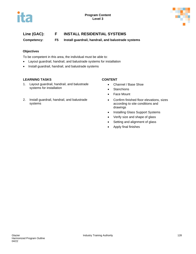



**Competency: F5 Install guardrail, handrail, and balustrade systems**

### **Objectives**

To be competent in this area, the individual must be able to:

- Layout guardrail, handrail, and balustrade systems for installation
- Install guardrail, handrail, and balustrade systems

#### **LEARNING TASKS CONTENT**

- 1. Layout guardrail, handrail, and balustrade systems for installation
- 2. Install guardrail, handrail, and balustrade systems

- Channel / Base Shoe
- Stanchions
- Face Mount
- Confirm finished floor elevations, sizes according to site conditions and drawings
- Installing Glass Support Systems
- Verify size and shape of glass
- Setting and alignment of glass
- Apply final finishes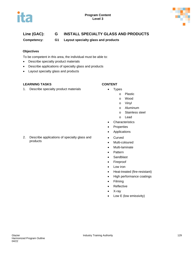



# **Line (GAC): G INSTALL SPECIALTY GLASS AND PRODUCTS**

**Competency: G1 Layout specialty glass and products**

### **Objectives**

To be competent in this area, the individual must be able to:

- Describe specialty product materials
- Describe applications of specialty glass and products
- Layout specialty glass and products

#### **LEARNING TASKS CONTENT**

1. Describe specialty product materials **•** Types

- - o Plastic
		- o Wood
		- o Vinyl
		- o Aluminum
		- o Stainless steel
		- o Lead
- Characteristics
- Properties
- Applications
- Curved
- Multi-coloured
- Multi-laminate
- Pattern
- Sandblast
- Fireproof
- Low iron
- Heat-treated (fire-resistant)
- High performance coatings
- Filming
- Reflective
- X-ray
- Low E (low emissivity)

2. Describe applications of specialty glass and products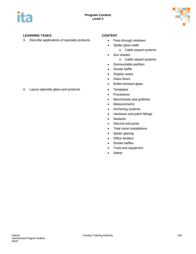



### **LEARNING TASKS CONTENT**

3. Describe applications of specialty products • Pass-through windows

- 
- Spider glass walls
	- o Cable stayed systems
- Sun shades
	- o Cable stayed systems
- Demountable partition
- Smoke baffle
- Display cases
- Glass floors
- Bullet-resistant glass
- 
- Procedures
- Benchmarks and gridlines
- Measurements
- Anchoring systems
- Hardware and patch fittings
- Sealants
- Silicone butt joints
- Total vision installations
- Spider glazing
- Office dividers
- Smoke baffles
- Tools and equipment
- Safety

# 4. Layout specialty glass and products **•** Templates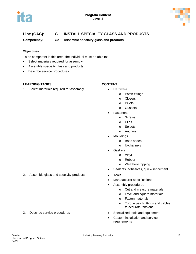



# **Line (GAC): G INSTALL SPECIALTY GLASS AND PRODUCTS**

**Competency: G2 Assemble specialty glass and products**

#### **Objectives**

To be competent in this area, the individual must be able to:

- Select materials required for assembly
- Assemble specialty glass and products
- Describe service procedures

#### **LEARNING TASKS CONTENT**

1. Select materials required for assembly **•** Hardware

- - o Patch fittings
		- o Closers
		- o Pivots
		- o Gussets
- **Fasteners** 
	- o Screws
	- o Clips
	- o Spigots
	- o Anchors
- **Mouldings** 
	- o Base shoes
	- o U-channels
- **Gaskets** 
	- o Vinyl
	- o Rubber
	- o Weather-stripping
- Sealants, adhesives, quick-set cement
- 
- Manufacturer specifications
- Assembly procedures
	- o Cut and measure materials
	- o Level and square materials
	- o Fasten materials
	- o Torque patch fittings and cables to accurate tensions
- 3. Describe service procedures Specialized tools and equipment
	- Custom installation and service requirements

2. Assemble glass and specialty products • Tools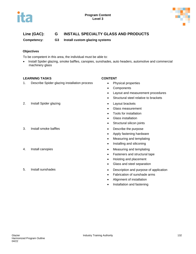



# **Line (GAC): G INSTALL SPECIALTY GLASS AND PRODUCTS**

**Competency: G3 Install custom glazing systems**

### **Objectives**

To be competent in this area, the individual must be able to:

• Install Spider glazing, smoke baffles, canopies, sunshades, auto headers, automotive and commercial machinery glass

### **LEARNING TASKS CONTENT**

1. Describe Spider glazing installation process • Physical properties

- 
- Components
- Layout and measurement procedures
- Structural steel relative to brackets
- 
- Glass measurement
- Tools for installation
- Glass installation
- Structural silicon joints
- 3. Install smoke baffles **because the contract of the purpose •** Describe the purpose
	- Apply fastening hardware
	- Measuring and templating
	- Installing and siliconing
- 4. Install canopies  **Measuring and templating** 
	- Fasteners and structural tape
	- Hoisting and placement
	- Glass and steel separation
- 5. Install sunshades Description and purpose of application
	- Fabrication of sunshade arms
	- Alignment of installation
	- Installation and fastening
- 2. Install Spider glazing extending the set of the Layout brackets
- 
- 
-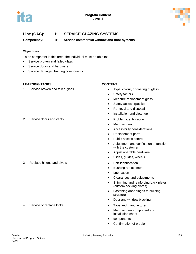



# **Line (GAC): H SERVICE GLAZING SYSTEMS**

**Competency: H1 Service commercial window and door systems**

### **Objectives**

To be competent in this area, the individual must be able to:

- Service broken and failed glass
- Service doors and hardware
- Service damaged framing components

#### **LEARNING TASKS CONTENT**

1. Service broken and failed glass **•** Type, colour, or coating of glass

- 
- Safety factors
- Measure replacement glass
- Safety access (public)
- Removal and disposal
- Installation and clean up
- 
- Manufacturer
- Accessibility considerations
- Replacement parts
- Public access control
- Adjustment and verification of function with the customer
- Adjust operable hardware
- Slides, guides, wheels
- 3. Replace hinges and pivots **•** Part identification
	- Bushing replacement
	- Lubrication
	- Clearances and adjustments
	- Shimming and reinforcing back plates (custom backing plates)
	- Fastening door hinges to building structure
	- Door and window blocking
- 4. Service or replace locks **•** Type and manufacturer
	- Manufacturer component and installation sheet
	- components
	- Confirmation of problem

#### 2. Service doors and vents **•** Problem identification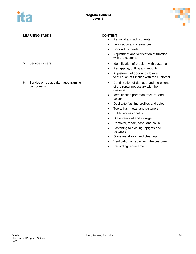

### **LEARNING TASKS CONTENT**

- 
- 6. Service or replace damaged framing components

- Removal and adjustments
- Lubrication and clearances
- Door adjustments
- Adjustment and verification of function with the customer
- 5. Service closers  **Identification of problem with customer** 
	- Re-tapping, drilling and mounting
	- Adjustment of door and closure, verification of function with the customer
	- Confirmation of damage and the extent of the repair necessary with the customer
	- Identification part manufacturer and colour
	- Duplicate flashing profiles and colour
	- Tools, jigs, metal, and fasteners
	- Public access control
	- Glass removal and storage
	- Removal, repair, flash, and caulk
	- Fastening to existing (spigots and fasteners)
	- Glass installation and clean up
	- Verification of repair with the customer
	- Recording repair time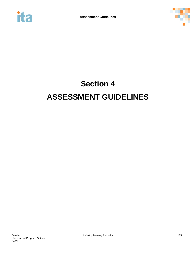



# **Section 4 ASSESSMENT GUIDELINES**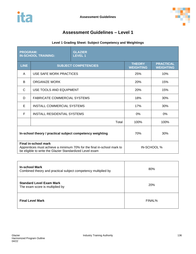

# **Assessment Guidelines – Level 1**

### **Level 1 Grading Sheet: Subject Competency and Weightings**

| <b>PROGRAM:</b><br><b>IN-SCHOOL TRAINING:</b>                                                                                                              |                                     | <b>GLAZIER</b><br><b>LEVEL 1</b> |                                   |                                      |
|------------------------------------------------------------------------------------------------------------------------------------------------------------|-------------------------------------|----------------------------------|-----------------------------------|--------------------------------------|
| <b>LINE</b>                                                                                                                                                | <b>SUBJECT COMPETENCIES</b>         |                                  | <b>THEORY</b><br><b>WEIGHTING</b> | <b>PRACTICAL</b><br><b>WEIGHTING</b> |
| A                                                                                                                                                          | USE SAFE WORK PRACTICES             |                                  | 25%                               | 10%                                  |
| B.                                                                                                                                                         | ORGANIZE WORK                       |                                  | 20%                               | 15%                                  |
| C                                                                                                                                                          | USE TOOLS AND EQUIPMENT             |                                  | 20%                               | 15%                                  |
| D                                                                                                                                                          | <b>FABRICATE COMMERCIAL SYSTEMS</b> |                                  | 18%                               | 30%                                  |
| E                                                                                                                                                          | INSTALL COMMERCIAL SYSTEMS          |                                  | 17%                               | 30%                                  |
| F                                                                                                                                                          | <b>INSTALL RESIDENTIAL SYSTEMS</b>  |                                  | $0\%$                             | 0%                                   |
|                                                                                                                                                            |                                     | Total                            | 100%                              | 100%                                 |
| In-school theory / practical subject competency weighting                                                                                                  |                                     |                                  | 70%                               | 30%                                  |
| Final in-school mark<br>Apprentices must achieve a minimum 70% for the final in-school mark to<br>be eligible to write the Glazier Standardized Level exam |                                     |                                  |                                   | IN-SCHOOL %                          |

| <b>In-school Mark</b><br>Combined theory and practical subject competency multiplied by | 80%    |
|-----------------------------------------------------------------------------------------|--------|
| <b>Standard Level Exam Mark</b><br>The exam score is multiplied by                      | 20%    |
| <b>Final Level Mark</b>                                                                 | FINAL% |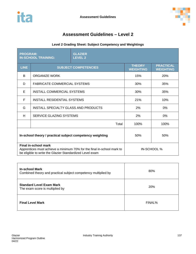

# **Assessment Guidelines – Level 2**

## **Level 2 Grading Sheet: Subject Competency and Weightings**

| <b>PROGRAM:</b><br><b>IN-SCHOOL TRAINING:</b>                                                                                                              |                                      | <b>GLAZIER</b><br><b>LEVEL 2</b> |                                   |                                      |
|------------------------------------------------------------------------------------------------------------------------------------------------------------|--------------------------------------|----------------------------------|-----------------------------------|--------------------------------------|
| <b>LINE</b>                                                                                                                                                | <b>SUBJECT COMPETENCIES</b>          |                                  | <b>THEORY</b><br><b>WEIGHTING</b> | <b>PRACTICAL</b><br><b>WEIGHTING</b> |
| B                                                                                                                                                          | ORGANIZE WORK                        |                                  | 15%                               | 20%                                  |
| D                                                                                                                                                          | <b>FABRICATE COMMERCIAL SYSTEMS</b>  |                                  | 30%                               | 35%                                  |
| E                                                                                                                                                          | <b>INSTALL COMMERCIAL SYSTEMS</b>    |                                  | 30%                               | 35%                                  |
| F                                                                                                                                                          | INSTALL RESIDENTIAL SYSTEMS          |                                  | 21%                               | 10%                                  |
| G                                                                                                                                                          | INSTALL SPECIALTY GLASS AND PRODUCTS |                                  | 2%                                | $0\%$                                |
| H                                                                                                                                                          | SERVICE GLAZING SYSTEMS              |                                  | 2%                                | $0\%$                                |
|                                                                                                                                                            |                                      | Total                            | 100%                              | 100%                                 |
| In-school theory / practical subject competency weighting                                                                                                  |                                      |                                  | 50%                               | 50%                                  |
| Final in-school mark<br>Apprentices must achieve a minimum 70% for the final in-school mark to<br>be eligible to write the Glazier Standardized Level exam |                                      |                                  | IN-SCHOOL %                       |                                      |

| <b>In-school Mark</b><br>Combined theory and practical subject competency multiplied by | 80%    |
|-----------------------------------------------------------------------------------------|--------|
| <b>Standard Level Exam Mark</b><br>The exam score is multiplied by                      | 20%    |
| <b>Final Level Mark</b>                                                                 | FINAL% |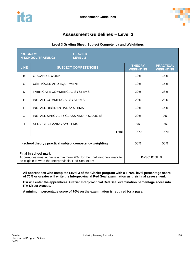

# **Assessment Guidelines – Level 3**

### **Level 3 Grading Sheet: Subject Competency and Weightings**

| <b>PROGRAM:</b><br><b>IN-SCHOOL TRAINING:</b>                                                                                                            |                                      | <b>GLAZIER</b><br><b>LEVEL 3</b> |                                   |                                      |
|----------------------------------------------------------------------------------------------------------------------------------------------------------|--------------------------------------|----------------------------------|-----------------------------------|--------------------------------------|
| <b>LINE</b>                                                                                                                                              | <b>SUBJECT COMPETENCIES</b>          |                                  | <b>THEORY</b><br><b>WEIGHTING</b> | <b>PRACTICAL</b><br><b>WEIGHTING</b> |
| B                                                                                                                                                        | <b>ORGANIZE WORK</b>                 |                                  | 10%                               | 15%                                  |
| C                                                                                                                                                        | USE TOOLS AND EQUIPMENT              |                                  | 10%                               | 15%                                  |
| D                                                                                                                                                        | <b>FABRICATE COMMERCIAL SYSTEMS</b>  |                                  | 22%                               | 28%                                  |
| E                                                                                                                                                        | <b>INSTALL COMMERCIAL SYSTEMS</b>    |                                  | 20%                               | 28%                                  |
| F                                                                                                                                                        | INSTALL RESIDENTIAL SYSTEMS          |                                  | 10%                               | 14%                                  |
| G                                                                                                                                                        | INSTALL SPECIALTY GLASS AND PRODUCTS |                                  | 20%                               | 0%                                   |
| H                                                                                                                                                        | <b>SERVICE GLAZING SYSTEMS</b>       |                                  | 8%                                | 0%                                   |
|                                                                                                                                                          |                                      | Total                            | 100%                              | 100%                                 |
| In-school theory / practical subject competency weighting                                                                                                |                                      |                                  | 50%                               | 50%                                  |
| Final in-school mark<br>Apprentices must achieve a minimum 70% for the final in-school mark to<br>be eligible to write the Interprovincial Red Seal exam |                                      |                                  | IN-SCHOOL %                       |                                      |

**All apprentices who complete Level 3 of the Glazier program with a FINAL level percentage score of 70% or greater will write the Interprovincial Red Seal examination as their final assessment.**

**ITA will enter the apprentices' Glazier Interprovincial Red Seal examination percentage score into ITA Direct Access.**

**A minimum percentage score of 70% on the examination is required for a pass.**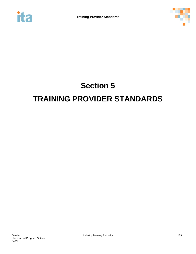



# **Section 5 TRAINING PROVIDER STANDARDS**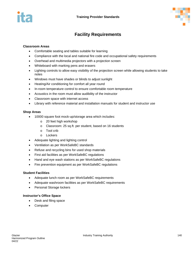

# **Facility Requirements**

### **Classroom Areas**

- Comfortable seating and tables suitable for learning
- Compliance with the local and national fire code and occupational safety requirements
- Overhead and multimedia projectors with a projection screen
- Whiteboard with marking pens and erasers
- Lighting controls to allow easy visibility of the projection screen while allowing students to take notes
- Windows must have shades or blinds to adjust sunlight
- Heating/Air conditioning for comfort all year round
- In-room temperature control to ensure comfortable room temperature
- Acoustics in the room must allow audibility of the instructor
- Classroom space with internet access
- Library with reference material and installation manuals for student and instructor use

#### **Shop Areas**

- 10000 square foot mock-up/storage area which includes:
	- o 20 feet high workshop
	- o Classroom: 25 sq.ft. per student, based on 16 students
	- o Tool crib
	- o Lockers
- Adequate lighting and lighting control
- Ventilation as per WorkSafeBC standards
- Refuse and recycling bins for used shop materials
- First aid facilities as per WorkSafeBC regulations
- Hand and eye wash stations as per WorkSafeBC regulations
- Fire prevention equipment as per WorkSafeBC regulations

#### **Student Facilities**

- Adequate lunch room as per WorkSafeBC requirements
- Adequate washroom facilities as per WorkSafeBC requirements
- Personal Storage lockers

#### **Instructor's Office Space**

- Desk and filing space
- Computer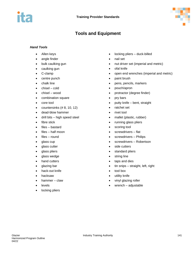

# **Tools and Equipment**

#### *Hand Tools*

- Allen keys
- angle finder
- bulk caulking gun
- caulking gun
- C-clamp
- centre punch
- chalk line
- $chisel cold$
- chisel wood
- combination square
- core tool
- $\bullet$  countersinks  $(\# 8, 10, 12)$
- dead-blow hammer
- drill bits high speed steel
- fibre stick
- files bastard
- $files half moon$
- files round
- glass cup
- glass cutter
- glass pliers
- glass wedge
- hand cutters
- glazing bar
- hack-out knife
- hacksaw
- hammer claw
- **levels**
- locking pliers
- locking pliers duck-billed
- nail set
- nut driver set (imperial and metric)
- ofal knife
- open end wrenches (imperial and metric)
- paint brush
- pens, pencils, markers
- pouch/apron
- protractor (degree finder)
- pry bars
- putty knife bent, straight
- ratchet set
- rivet tool
- mallet (plastic, rubber)
- running glass pliers
- scoring tool
- screwdrivers flat
- screwdrivers Philips
- screwdrivers Robertson
- side cutters
- standard pliers
- string line
- taps and dies
- tin snips straight, left, right
- tool box
- utility knife
- vinyl glazing roller
- wrench adjustable

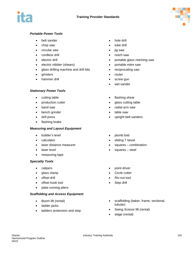



### *Portable Power Tools*

- belt sander
- chop saw
- circular saw
- cordless drill
- electric drill
- electric nibbler (shears)
- glass drilling machine and drill bits
- **grinders**
- hammer drill

#### *Stationary Power Tools*

- cutting table
- production cutter
- band saw
- bench grinder
- drill press
- flashing brake

#### *Measuring and Layout Equipment*

- builder's level
- calculator
- laser distance measurer
- laser level
- measuring tape

#### *Specialty Tools*

- calipers
- glass clamp
- offset drill
- offset hook tool
- plate running pliers

#### *Scaffolding and Access Equipment*

- Boom lift (rental)
- ladder jacks
- ladders (extension and step
- hole drill
- tube drill
- jig saw
- notch saw
- portable glass notching saw
- portable mitre saw
- reciprocating saw
- **router**
- screw gun
- wet sander
- flashing shear
- glass cutting table
- radial arm saw
- table saw
- upright belt sanders
- plumb bob
- sliding T bevel
- squares combination
- squares steel
- point driver
- Circle cutter
- Riv-nut tool
- Step drill
- scaffolding (baker, frame, sectional, tubular)
- Swing Scissor lift (rental)
- stage (rental)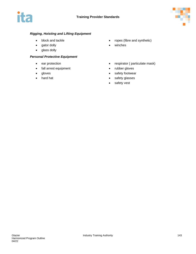

## *Rigging, Hoisting and Lifting Equipment*

- block and tackle
- gator dolly
- glass dolly

#### *Personal Protective Equipment*

- ear protection
- fall arrest equipment
- gloves
- hard hat
- ropes (fibre and synthetic)
- winches
- respirator ( particulate mask)
- rubber gloves
- safety footwear
- safety glasses
- safety vest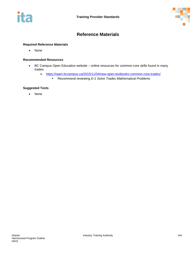



## **Reference Materials**

#### **Required Reference Materials**

• None

#### **Recommended Resources**

- BC Campus Open Education website online resources for common core skills found in many trades:
	- o <https://open.bccampus.ca/2015/11/04/new-open-textbooks-common-core-trades/>
		- Recommend reviewing *D-1 Solve Trades Mathematical Problems*

#### **Suggested Texts**

• None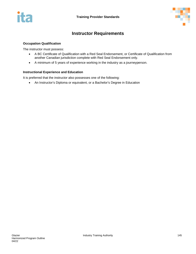

## **Instructor Requirements**

## **Occupation Qualification**

The instructor must possess:

- A BC Certificate of Qualification with a Red Seal Endorsement, or Certificate of Qualification from another Canadian jurisdiction complete with Red Seal Endorsement only.
- A minimum of 5 years of experience working in the industry as a journeyperson.

#### **Instructional Experience and Education**

It is preferred that the instructor also possesses one of the following:

• An Instructor's Diploma or equivalent, or a Bachelor's Degree in Education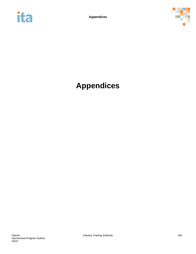



# **Appendices**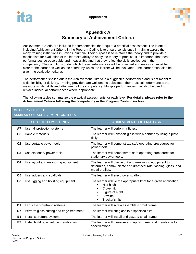

## **Appendix A Summary of Achievement Criteria**

Achievement Criteria are included for competencies that require a practical assessment. The intent of including Achievement Criteria in the Program Outline is to ensure consistency in training across the many training institutions in British Columbia. Their purpose is to reinforce the theory and to provide a mechanism for evaluation of the learner's ability to apply the theory to practice. It is important that these performances be observable and measurable and that they reflect the skills spelled out in the competency. The conditions under which these performances will be observed and measured must be clear to the learner as well as the criteria by which the learner will be evaluated. The learner must also be given the evaluation criteria.

The performance spelled out in the Achievement Criteria is a suggested performance and is not meant to stifle flexibility of delivery. Training providers are welcome to substitute other practical performances that measure similar skills and attainment of the competency. Multiple performances may also be used to replace individual performances where appropriate.

The following tables summarize the practical assessments for each level. **For details, please refer to the Achievement Criteria following the competency in the Program Content section.**

## **GLAZIER – LEVEL 1**

## **SUMMARY OF ACHIEVEMENT CRITERIA**

|                | <b>SUBJECT COMPETENCY</b>                | <b>ACHIEVEMENT CRITERIA TASK</b>                                                                                                                                          |
|----------------|------------------------------------------|---------------------------------------------------------------------------------------------------------------------------------------------------------------------------|
| А7             | Use fall protection systems              | The learner will perform a fit test.                                                                                                                                      |
| <b>B6</b>      | Handle materials                         | The learner will transport glass with a partner by using a plate<br>dolly.                                                                                                |
| C <sub>2</sub> | Use portable power tools                 | The learner will demonstrate safe operating procedures for<br>power tools.                                                                                                |
| C <sub>3</sub> | Use stationary power tools               | The learner will demonstrate safe operating procedures for<br>stationary power tools.                                                                                     |
| C4             | Use layout and measuring equipment       | The learner will use layout and measuring equipment to<br>determine, communicate and draft accurate flashing, glass, and<br>metal profiles.                               |
| C <sub>5</sub> | Use ladders and scaffolds                | The learner will erect tower scaffold.                                                                                                                                    |
| C6             | Use rigging and hoisting equipment       | The learner will tie the appropriate knot for a given application:<br>Half hitch<br>$\bullet$<br>Clove hitch<br>٠<br>Figure of eight<br><b>Bowline</b><br>Trucker's hitch |
| D1             | Fabricate storefront systems             | The learner will screw assemble a small frame.                                                                                                                            |
| D7             | Perform glass cutting and edge treatment | The learner will cut glass to a specified size.                                                                                                                           |
| E1             | Install storefront systems               | The learner will install and glaze a small frame.                                                                                                                         |
| E7             | Install building envelope membranes      | The learner will measure and apply primer and membrane to<br>specifications.                                                                                              |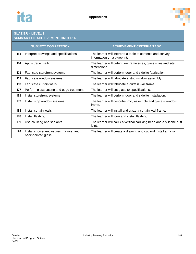

# **GLAZIER – LEVEL 2**

## **SUMMARY OF ACHIEVEMENT CRITERIA**

|                | <b>SUBJECT COMPETENCY</b>                                     | <b>ACHIEVEMENT CRITERIA TASK</b>                                                         |
|----------------|---------------------------------------------------------------|------------------------------------------------------------------------------------------|
| <b>B1</b>      | Interpret drawings and specifications                         | The learner will interpret a table of contents and convey<br>information on a blueprint. |
| <b>B4</b>      | Apply trade math                                              | The learner will determine frame sizes, glass sizes and site<br>dimensions.              |
| D1             | Fabricate storefront systems                                  | The learner will perform door and sidelite fabrication.                                  |
| D <sub>2</sub> | Fabricate window systems                                      | The learner will fabricate a strip window assembly.                                      |
| D <sub>3</sub> | Fabricate curtain walls                                       | The learner will fabricate a curtain wall frame.                                         |
| D7             | Perform glass cutting and edge treatment                      | The learner will cut glass to specifications.                                            |
| E1             | Install storefront systems                                    | The learner will perform door and sidelite installation.                                 |
| E <sub>2</sub> | Install strip window systems                                  | The learner will describe, mill, assemble and glaze a window<br>frame.                   |
| E <sub>3</sub> | Install curtain walls                                         | The learner will install and glaze a curtain wall frame.                                 |
| E8             | Install flashing                                              | The learner will form and install flashing.                                              |
| E <sub>9</sub> | Use caulking and sealants                                     | The learner will caulk a vertical caulking bead and a silicone butt<br>joint.            |
| F4             | Install shower enclosures, mirrors, and<br>back-painted glass | The learner will create a drawing and cut and install a mirror.                          |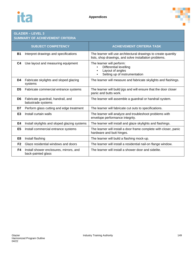

## **GLAZIER – LEVEL 3**

## **SUMMARY OF ACHIEVEMENT CRITERIA**

|                | <b>SUBJECT COMPETENCY</b>                                     | <b>ACHIEVEMENT CRITERIA TASK</b>                                                                                         |
|----------------|---------------------------------------------------------------|--------------------------------------------------------------------------------------------------------------------------|
| <b>B1</b>      | Interpret drawings and specifications                         | The learner will use architectural drawings to create quantity<br>lists, shop drawings, and solve installation problems. |
| C4             | Use layout and measuring equipment                            | The learner will perform:<br><b>Differential levelling</b><br>Layout of angles<br>Setting up of instrumentation          |
| D4             | Fabricate skylights and sloped glazing<br>systems             | The learner will measure and fabricate skylights and flashings.                                                          |
| D <sub>5</sub> | Fabricate commercial entrance systems                         | The learner will build jigs and will ensure that the door closer<br>panic and butts work.                                |
| D <sub>6</sub> | Fabricate guardrail, handrail, and<br>balustrade systems      | The learner will assemble a guardrail or handrail system.                                                                |
| D7             | Perform glass cutting and edge treatment                      | The learner will fabricate cut outs to specifications.                                                                   |
| E <sub>3</sub> | Install curtain walls                                         | The learner will analyze and troubleshoot problems with<br>envelope performance integrity.                               |
| E4             | Install skylights and sloped glazing systems                  | The learner will install and glaze skylights and flashings.                                                              |
| E <sub>5</sub> | Install commercial entrance systems                           | The learner will install a door frame complete with closer, panic<br>hardware and butt hinges.                           |
| E <sub>8</sub> | Install flashing                                              | The learner will build a flashing mock-up.                                                                               |
| F <sub>2</sub> | Glaze residential windows and doors                           | The learner will install a residential nail-on flange window.                                                            |
| F4             | Install shower enclosures, mirrors, and<br>back-painted glass | The learner will install a shower door and sidelite.                                                                     |